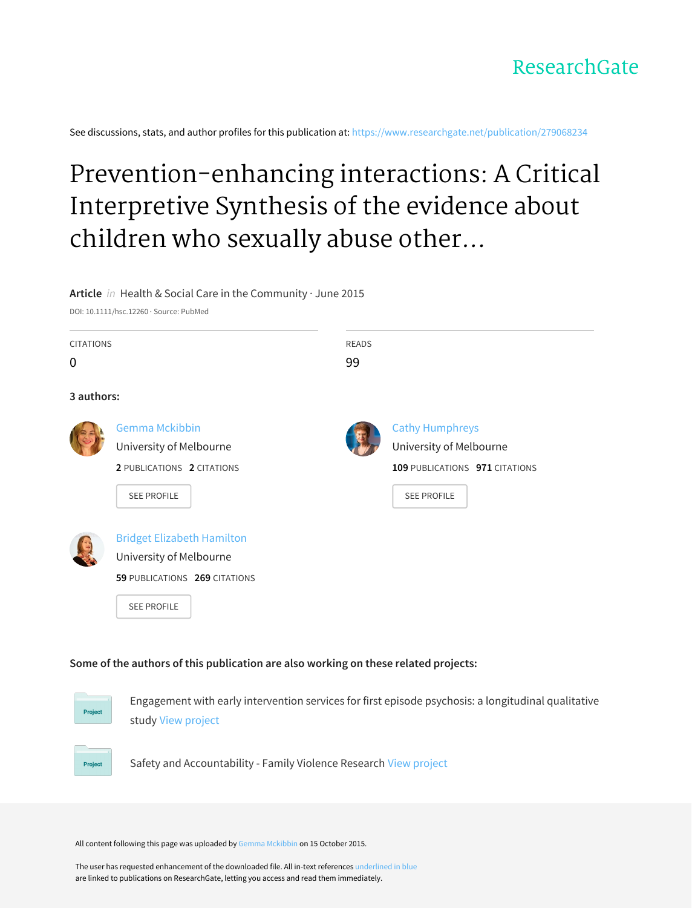

See discussions, stats, and author profiles for this publication at: [https://www.researchgate.net/publication/279068234](https://www.researchgate.net/publication/279068234_Prevention-enhancing_interactions_A_Critical_Interpretive_Synthesis_of_the_evidence_about_children_who_sexually_abuse_other_children?enrichId=rgreq-ce9b6f40ffd378a615ee4c3b6dcd8df2-XXX&enrichSource=Y292ZXJQYWdlOzI3OTA2ODIzNDtBUzoyODQ2ODA4MzExNjAzMjBAMTQ0NDg4NDYwNzA2Mw%3D%3D&el=1_x_2&_esc=publicationCoverPdf)

# Prevention-enhancing interactions: A Critical Interpretive Synthesis of the evidence about children who sexually abuse other...

#### **Article** in Health & Social Care in the Community · June 2015

DOI: 10.1111/hsc.12260 · Source: PubMed

Project

| <b>CITATIONS</b><br>0 |                                                                                                                     | <b>READS</b><br>99 |                                                                                                           |
|-----------------------|---------------------------------------------------------------------------------------------------------------------|--------------------|-----------------------------------------------------------------------------------------------------------|
| 3 authors:            |                                                                                                                     |                    |                                                                                                           |
|                       | <b>Gemma Mckibbin</b><br>University of Melbourne<br>2 PUBLICATIONS 2 CITATIONS<br><b>SEE PROFILE</b>                |                    | <b>Cathy Humphreys</b><br>University of Melbourne<br>109 PUBLICATIONS 971 CITATIONS<br><b>SEE PROFILE</b> |
|                       | <b>Bridget Elizabeth Hamilton</b><br>University of Melbourne<br>59 PUBLICATIONS 269 CITATIONS<br><b>SEE PROFILE</b> |                    |                                                                                                           |

#### **Some of the authors of this publication are also working on these related projects:**





All content following this page was uploaded by Gemma [Mckibbin](https://www.researchgate.net/profile/Gemma_Mckibbin?enrichId=rgreq-ce9b6f40ffd378a615ee4c3b6dcd8df2-XXX&enrichSource=Y292ZXJQYWdlOzI3OTA2ODIzNDtBUzoyODQ2ODA4MzExNjAzMjBAMTQ0NDg4NDYwNzA2Mw%3D%3D&el=1_x_10&_esc=publicationCoverPdf) on 15 October 2015.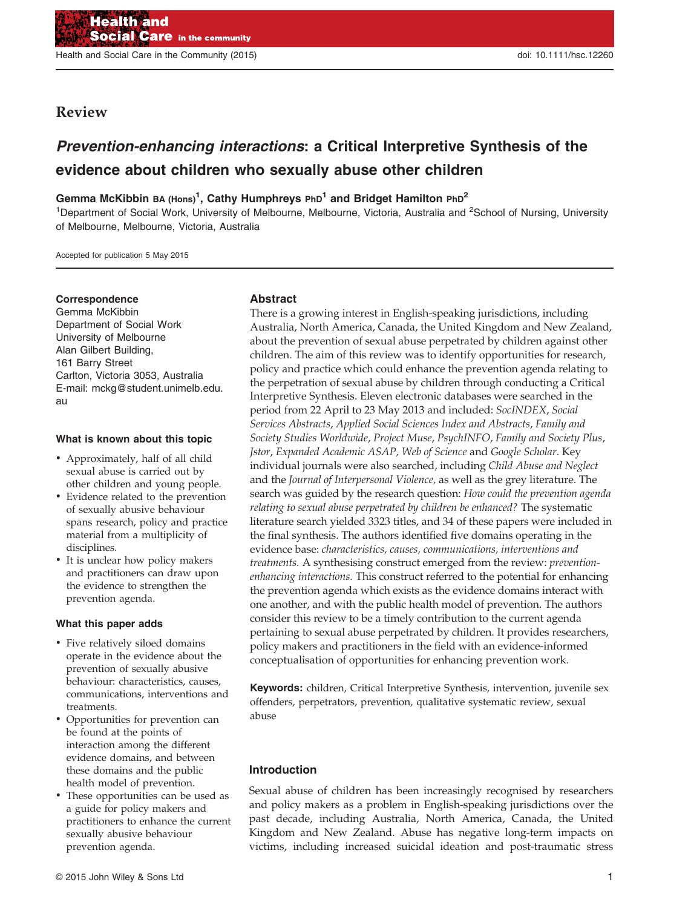Health and Social Care in the Community (2015) doi: 10.1111/hsc.12260

#### Review

### Prevention-enhancing interactions: a Critical Interpretive Synthesis of the evidence about children who sexually abuse other children

Gemma McKibbin ва  ${\rm (Hons)}^1,$  Cathy Humphreys <code>PhD $^1$ </code> and Bridget Hamilton <code>PhD $^2$ </code>

<sup>1</sup>Department of Social Work, University of Melbourne, Melbourne, Victoria, Australia and <sup>2</sup>School of Nursing, University of Melbourne, Melbourne, Victoria, Australia

Accepted for publication 5 May 2015

#### Correspondence

Gemma McKibbin Department of Social Work University of Melbourne Alan Gilbert Building, 161 Barry Street Carlton, Victoria 3053, Australia E-mail: mckg@student.unimelb.edu. au

#### What is known about this topic

- Approximately, half of all child sexual abuse is carried out by other children and young people.
- Evidence related to the prevention of sexually abusive behaviour spans research, policy and practice material from a multiplicity of disciplines.
- It is unclear how policy makers and practitioners can draw upon the evidence to strengthen the prevention agenda.

#### What this paper adds

- Five relatively siloed domains operate in the evidence about the prevention of sexually abusive behaviour: characteristics, causes, communications, interventions and treatments.
- Opportunities for prevention can be found at the points of interaction among the different evidence domains, and between these domains and the public health model of prevention.
- These opportunities can be used as a guide for policy makers and practitioners to enhance the current sexually abusive behaviour prevention agenda.

#### Abstract

There is a growing interest in English-speaking jurisdictions, including Australia, North America, Canada, the United Kingdom and New Zealand, about the prevention of sexual abuse perpetrated by children against other children. The aim of this review was to identify opportunities for research, policy and practice which could enhance the prevention agenda relating to the perpetration of sexual abuse by children through conducting a Critical Interpretive Synthesis. Eleven electronic databases were searched in the period from 22 April to 23 May 2013 and included: SocINDEX, Social Services Abstracts, Applied Social Sciences Index and Abstracts, Family and Society Studies Worldwide, Project Muse, PsychINFO, Family and Society Plus, Jstor, Expanded Academic ASAP, Web of Science and Google Scholar. Key individual journals were also searched, including Child Abuse and Neglect and the Journal of Interpersonal Violence, as well as the grey literature. The search was guided by the research question: How could the prevention agenda relating to sexual abuse perpetrated by children be enhanced? The systematic literature search yielded 3323 titles, and 34 of these papers were included in the final synthesis. The authors identified five domains operating in the evidence base: characteristics, causes, communications, interventions and treatments. A synthesising construct emerged from the review: preventionenhancing interactions. This construct referred to the potential for enhancing the prevention agenda which exists as the evidence domains interact with one another, and with the public health model of prevention. The authors consider this review to be a timely contribution to the current agenda pertaining to sexual abuse perpetrated by children. It provides researchers, policy makers and practitioners in the field with an evidence-informed conceptualisation of opportunities for enhancing prevention work.

Keywords: children, Critical Interpretive Synthesis, intervention, juvenile sex offenders, perpetrators, prevention, qualitative systematic review, sexual abuse

#### Introduction

Sexual abuse of children has been increasingly recognised by researchers and policy makers as a problem in English-speaking jurisdictions over the past decade, including Australia, North America, Canada, the United Kingdom and New Zealand. Abuse has negative long-term impacts on victims, including increased suicidal ideation and post-traumatic stress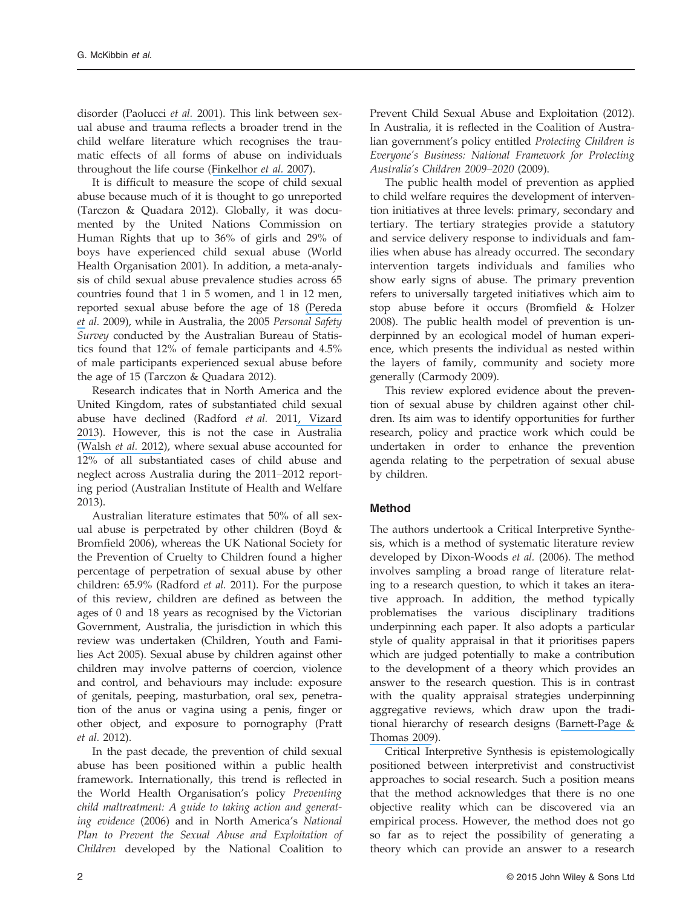disorder ([Paolucci](https://www.researchgate.net/publication/12095737_A_Meta-Analysis_of_The_Published_Research_on_The_Effects_of_Child_Sexual_Abuse?el=1_x_8&enrichId=rgreq-ce9b6f40ffd378a615ee4c3b6dcd8df2-XXX&enrichSource=Y292ZXJQYWdlOzI3OTA2ODIzNDtBUzoyODQ2ODA4MzExNjAzMjBAMTQ0NDg4NDYwNzA2Mw==) et al. 2001). This link between sexual abuse and trauma reflects a broader trend in the child welfare literature which recognises the traumatic effects of all forms of abuse on individuals throughout the life course ([Finkelhor](https://www.researchgate.net/publication/6562554_Polyvictimization_and_trauma_in_a_national_longitudinal_cohort?el=1_x_8&enrichId=rgreq-ce9b6f40ffd378a615ee4c3b6dcd8df2-XXX&enrichSource=Y292ZXJQYWdlOzI3OTA2ODIzNDtBUzoyODQ2ODA4MzExNjAzMjBAMTQ0NDg4NDYwNzA2Mw==) et al. 2007).

It is difficult to measure the scope of child sexual abuse because much of it is thought to go unreported (Tarczon & Quadara 2012). Globally, it was documented by the United Nations Commission on Human Rights that up to 36% of girls and 29% of boys have experienced child sexual abuse (World Health Organisation 2001). In addition, a meta-analysis of child sexual abuse prevalence studies across 65 countries found that 1 in 5 women, and 1 in 12 men, reported sexual abuse before the age of 18 [\(Pereda](https://www.researchgate.net/publication/24282867_The_prevalence_of_child_sexual_abuse_in_community_and_student_samples_A_meta-analysis?el=1_x_8&enrichId=rgreq-ce9b6f40ffd378a615ee4c3b6dcd8df2-XXX&enrichSource=Y292ZXJQYWdlOzI3OTA2ODIzNDtBUzoyODQ2ODA4MzExNjAzMjBAMTQ0NDg4NDYwNzA2Mw==) [et](https://www.researchgate.net/publication/24282867_The_prevalence_of_child_sexual_abuse_in_community_and_student_samples_A_meta-analysis?el=1_x_8&enrichId=rgreq-ce9b6f40ffd378a615ee4c3b6dcd8df2-XXX&enrichSource=Y292ZXJQYWdlOzI3OTA2ODIzNDtBUzoyODQ2ODA4MzExNjAzMjBAMTQ0NDg4NDYwNzA2Mw==) al. 2009), while in Australia, the 2005 Personal Safety Survey conducted by the Australian Bureau of Statistics found that 12% of female participants and 4.5% of male participants experienced sexual abuse before the age of 15 (Tarczon & Quadara 2012).

Research indicates that in North America and the United Kingdom, rates of substantiated child sexual abuse have declined (Radford et al. 201[1, Vizard](https://www.researchgate.net/publication/235519108_Practitioner_Review_The_victims_and_juvenile_perpetrators_of_child_sexual_abuse_-_assessment_and_intervention?el=1_x_8&enrichId=rgreq-ce9b6f40ffd378a615ee4c3b6dcd8df2-XXX&enrichSource=Y292ZXJQYWdlOzI3OTA2ODIzNDtBUzoyODQ2ODA4MzExNjAzMjBAMTQ0NDg4NDYwNzA2Mw==) [2013](https://www.researchgate.net/publication/235519108_Practitioner_Review_The_victims_and_juvenile_perpetrators_of_child_sexual_abuse_-_assessment_and_intervention?el=1_x_8&enrichId=rgreq-ce9b6f40ffd378a615ee4c3b6dcd8df2-XXX&enrichSource=Y292ZXJQYWdlOzI3OTA2ODIzNDtBUzoyODQ2ODA4MzExNjAzMjBAMTQ0NDg4NDYwNzA2Mw==)). However, this is not the case in Australia ([Walsh](https://www.researchgate.net/publication/229324520_Mother-Child_Communication_about_Sexual_Abuse_Prevention?el=1_x_8&enrichId=rgreq-ce9b6f40ffd378a615ee4c3b6dcd8df2-XXX&enrichSource=Y292ZXJQYWdlOzI3OTA2ODIzNDtBUzoyODQ2ODA4MzExNjAzMjBAMTQ0NDg4NDYwNzA2Mw==) et al. 2012), where sexual abuse accounted for 12% of all substantiated cases of child abuse and neglect across Australia during the 2011–2012 reporting period (Australian Institute of Health and Welfare 2013).

Australian literature estimates that 50% of all sexual abuse is perpetrated by other children (Boyd & Bromfield 2006), whereas the UK National Society for the Prevention of Cruelty to Children found a higher percentage of perpetration of sexual abuse by other children: 65.9% (Radford et al. 2011). For the purpose of this review, children are defined as between the ages of 0 and 18 years as recognised by the Victorian Government, Australia, the jurisdiction in which this review was undertaken (Children, Youth and Families Act 2005). Sexual abuse by children against other children may involve patterns of coercion, violence and control, and behaviours may include: exposure of genitals, peeping, masturbation, oral sex, penetration of the anus or vagina using a penis, finger or other object, and exposure to pornography (Pratt et al. 2012).

In the past decade, the prevention of child sexual abuse has been positioned within a public health framework. Internationally, this trend is reflected in the World Health Organisation's policy Preventing child maltreatment: A guide to taking action and generating evidence (2006) and in North America's National Plan to Prevent the Sexual Abuse and Exploitation of Children developed by the National Coalition to Prevent Child Sexual Abuse and Exploitation (2012). In Australia, it is reflected in the Coalition of Australian government's policy entitled Protecting Children is Everyone's Business: National Framework for Protecting Australia's Children 2009–2020 (2009).

The public health model of prevention as applied to child welfare requires the development of intervention initiatives at three levels: primary, secondary and tertiary. The tertiary strategies provide a statutory and service delivery response to individuals and families when abuse has already occurred. The secondary intervention targets individuals and families who show early signs of abuse. The primary prevention refers to universally targeted initiatives which aim to stop abuse before it occurs (Bromfield & Holzer 2008). The public health model of prevention is underpinned by an ecological model of human experience, which presents the individual as nested within the layers of family, community and society more generally (Carmody 2009).

This review explored evidence about the prevention of sexual abuse by children against other children. Its aim was to identify opportunities for further research, policy and practice work which could be undertaken in order to enhance the prevention agenda relating to the perpetration of sexual abuse by children.

#### Method

The authors undertook a Critical Interpretive Synthesis, which is a method of systematic literature review developed by Dixon-Woods et al. (2006). The method involves sampling a broad range of literature relating to a research question, to which it takes an iterative approach. In addition, the method typically problematises the various disciplinary traditions underpinning each paper. It also adopts a particular style of quality appraisal in that it prioritises papers which are judged potentially to make a contribution to the development of a theory which provides an answer to the research question. This is in contrast with the quality appraisal strategies underpinning aggregative reviews, which draw upon the traditional hierarchy of research designs ([Barnett-Page &](https://www.researchgate.net/publication/26732677_Methods_for_the_synthesis_of_qualitative_research_A_critical_review?el=1_x_8&enrichId=rgreq-ce9b6f40ffd378a615ee4c3b6dcd8df2-XXX&enrichSource=Y292ZXJQYWdlOzI3OTA2ODIzNDtBUzoyODQ2ODA4MzExNjAzMjBAMTQ0NDg4NDYwNzA2Mw==) [Thomas 2009](https://www.researchgate.net/publication/26732677_Methods_for_the_synthesis_of_qualitative_research_A_critical_review?el=1_x_8&enrichId=rgreq-ce9b6f40ffd378a615ee4c3b6dcd8df2-XXX&enrichSource=Y292ZXJQYWdlOzI3OTA2ODIzNDtBUzoyODQ2ODA4MzExNjAzMjBAMTQ0NDg4NDYwNzA2Mw==)).

Critical Interpretive Synthesis is epistemologically positioned between interpretivist and constructivist approaches to social research. Such a position means that the method acknowledges that there is no one objective reality which can be discovered via an empirical process. However, the method does not go so far as to reject the possibility of generating a theory which can provide an answer to a research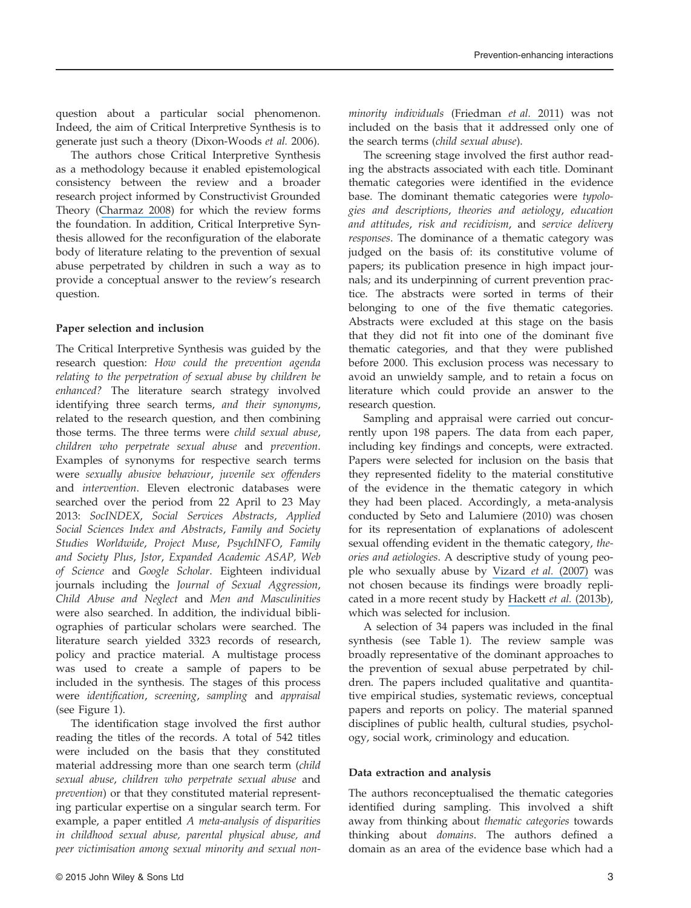question about a particular social phenomenon. Indeed, the aim of Critical Interpretive Synthesis is to generate just such a theory (Dixon-Woods et al. 2006).

The authors chose Critical Interpretive Synthesis as a methodology because it enabled epistemological consistency between the review and a broader research project informed by Constructivist Grounded Theory ([Charmaz 2008](https://www.researchgate.net/publication/285294710_Constructionism_and_the_grounded_theory_method?el=1_x_8&enrichId=rgreq-ce9b6f40ffd378a615ee4c3b6dcd8df2-XXX&enrichSource=Y292ZXJQYWdlOzI3OTA2ODIzNDtBUzoyODQ2ODA4MzExNjAzMjBAMTQ0NDg4NDYwNzA2Mw==)) for which the review forms the foundation. In addition, Critical Interpretive Synthesis allowed for the reconfiguration of the elaborate body of literature relating to the prevention of sexual abuse perpetrated by children in such a way as to provide a conceptual answer to the review's research question.

#### Paper selection and inclusion

The Critical Interpretive Synthesis was guided by the research question: How could the prevention agenda relating to the perpetration of sexual abuse by children be enhanced? The literature search strategy involved identifying three search terms, and their synonyms, related to the research question, and then combining those terms. The three terms were child sexual abuse, children who perpetrate sexual abuse and prevention. Examples of synonyms for respective search terms were sexually abusive behaviour, juvenile sex offenders and intervention. Eleven electronic databases were searched over the period from 22 April to 23 May 2013: SocINDEX, Social Services Abstracts, Applied Social Sciences Index and Abstracts, Family and Society Studies Worldwide, Project Muse, PsychINFO, Family and Society Plus, Jstor, Expanded Academic ASAP, Web of Science and Google Scholar. Eighteen individual journals including the Journal of Sexual Aggression, Child Abuse and Neglect and Men and Masculinities were also searched. In addition, the individual bibliographies of particular scholars were searched. The literature search yielded 3323 records of research, policy and practice material. A multistage process was used to create a sample of papers to be included in the synthesis. The stages of this process were identification, screening, sampling and appraisal (see Figure 1).

The identification stage involved the first author reading the titles of the records. A total of 542 titles were included on the basis that they constituted material addressing more than one search term (child sexual abuse, children who perpetrate sexual abuse and prevention) or that they constituted material representing particular expertise on a singular search term. For example, a paper entitled A meta-analysis of disparities in childhood sexual abuse, parental physical abuse, and peer victimisation among sexual minority and sexual nonminority individuals ([Friedman](https://www.researchgate.net/publication/51226500_A_Meta-Analysis_of_Disparities_in_Childhood_Sexual_Abuse_Parental_Physical_Abuse_and_Peer_Victimization_Among_Sexual_Minority_and_Sexual_Nonminority_Individuals?el=1_x_8&enrichId=rgreq-ce9b6f40ffd378a615ee4c3b6dcd8df2-XXX&enrichSource=Y292ZXJQYWdlOzI3OTA2ODIzNDtBUzoyODQ2ODA4MzExNjAzMjBAMTQ0NDg4NDYwNzA2Mw==) et al. 2011) was not included on the basis that it addressed only one of the search terms (child sexual abuse).

The screening stage involved the first author reading the abstracts associated with each title. Dominant thematic categories were identified in the evidence base. The dominant thematic categories were typologies and descriptions, theories and aetiology, education and attitudes, risk and recidivism, and service delivery responses. The dominance of a thematic category was judged on the basis of: its constitutive volume of papers; its publication presence in high impact journals; and its underpinning of current prevention practice. The abstracts were sorted in terms of their belonging to one of the five thematic categories. Abstracts were excluded at this stage on the basis that they did not fit into one of the dominant five thematic categories, and that they were published before 2000. This exclusion process was necessary to avoid an unwieldy sample, and to retain a focus on literature which could provide an answer to the research question.

Sampling and appraisal were carried out concurrently upon 198 papers. The data from each paper, including key findings and concepts, were extracted. Papers were selected for inclusion on the basis that they represented fidelity to the material constitutive of the evidence in the thematic category in which they had been placed. Accordingly, a meta-analysis conducted by Seto and Lalumiere (2010) was chosen for its representation of explanations of adolescent sexual offending evident in the thematic category, theories and aetiologies. A descriptive study of young people who sexually abuse by [Vizard](https://www.researchgate.net/publication/240241080_Children_and_adolescents_who_present_with_sexually_abusive_behaviour_A_UK_descriptive_study?el=1_x_8&enrichId=rgreq-ce9b6f40ffd378a615ee4c3b6dcd8df2-XXX&enrichSource=Y292ZXJQYWdlOzI3OTA2ODIzNDtBUzoyODQ2ODA4MzExNjAzMjBAMTQ0NDg4NDYwNzA2Mw==) et al. (2007) was not chosen because its findings were broadly replicated in a more recent study by [Hackett](https://www.researchgate.net/publication/264379649_Individual_Family_and_Abuse_Characteristics_of_700_British_Child_and_Adolescent_Sexual_Abusers?el=1_x_8&enrichId=rgreq-ce9b6f40ffd378a615ee4c3b6dcd8df2-XXX&enrichSource=Y292ZXJQYWdlOzI3OTA2ODIzNDtBUzoyODQ2ODA4MzExNjAzMjBAMTQ0NDg4NDYwNzA2Mw==) et al. (2013b), which was selected for inclusion.

A selection of 34 papers was included in the final synthesis (see Table 1). The review sample was broadly representative of the dominant approaches to the prevention of sexual abuse perpetrated by children. The papers included qualitative and quantitative empirical studies, systematic reviews, conceptual papers and reports on policy. The material spanned disciplines of public health, cultural studies, psychology, social work, criminology and education.

#### Data extraction and analysis

The authors reconceptualised the thematic categories identified during sampling. This involved a shift away from thinking about thematic categories towards thinking about domains. The authors defined a domain as an area of the evidence base which had a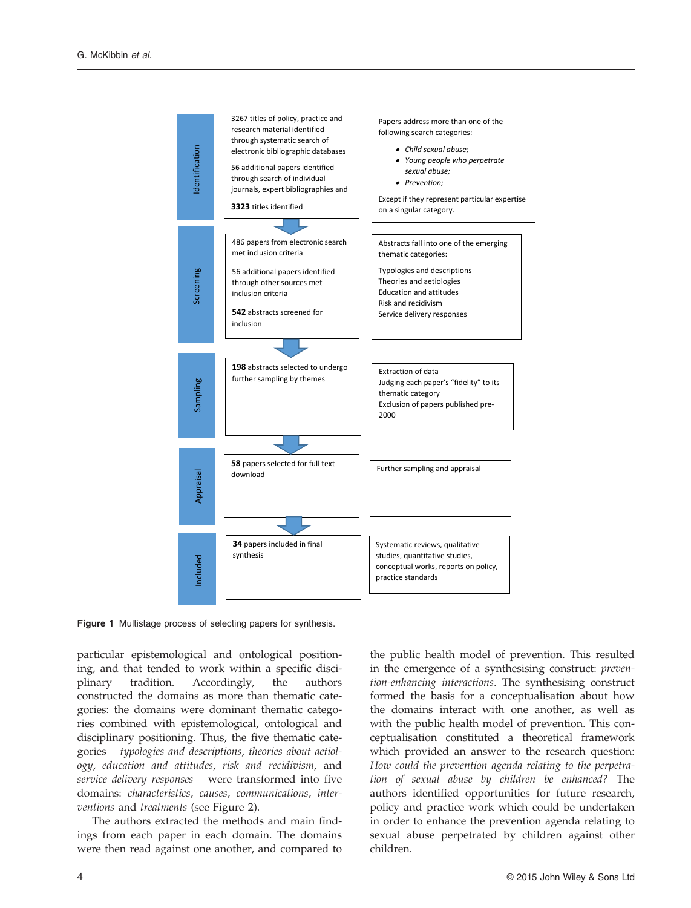

Figure 1 Multistage process of selecting papers for synthesis.

particular epistemological and ontological positioning, and that tended to work within a specific disciplinary tradition. Accordingly, the authors constructed the domains as more than thematic categories: the domains were dominant thematic categories combined with epistemological, ontological and disciplinary positioning. Thus, the five thematic categories – typologies and descriptions, theories about aetiology, education and attitudes, risk and recidivism, and service delivery responses – were transformed into five domains: characteristics, causes, communications, interventions and treatments (see Figure 2).

The authors extracted the methods and main findings from each paper in each domain. The domains were then read against one another, and compared to

the public health model of prevention. This resulted in the emergence of a synthesising construct: prevention-enhancing interactions. The synthesising construct formed the basis for a conceptualisation about how the domains interact with one another, as well as with the public health model of prevention. This conceptualisation constituted a theoretical framework which provided an answer to the research question: How could the prevention agenda relating to the perpetration of sexual abuse by children be enhanced? The authors identified opportunities for future research, policy and practice work which could be undertaken in order to enhance the prevention agenda relating to sexual abuse perpetrated by children against other children.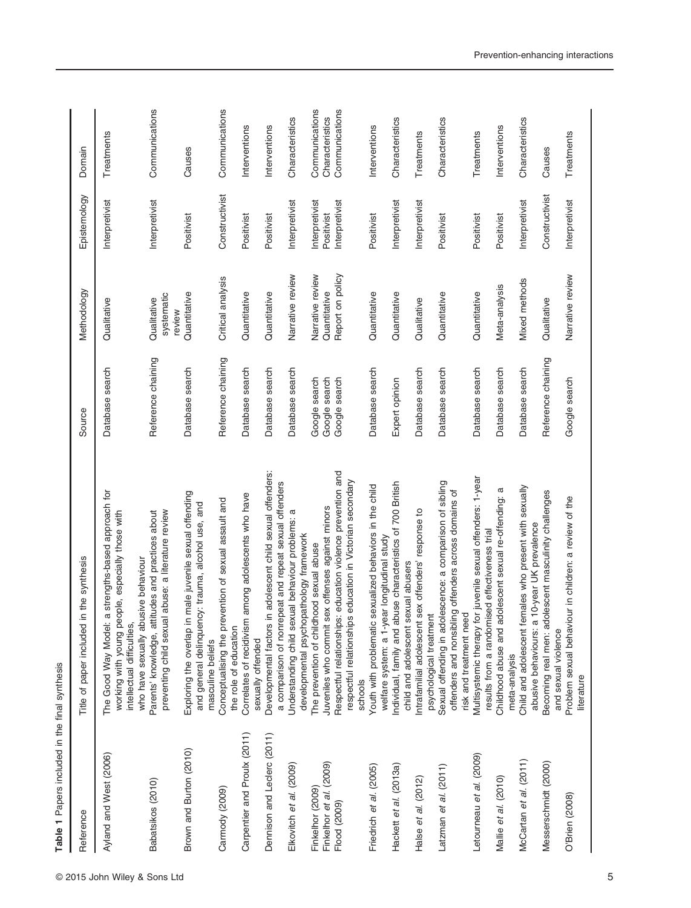| Reference                    | in the synthesis<br>Title of paper included                                                                                                                                    | Source             | Methodology                         | Epistemology   | Domain          |
|------------------------------|--------------------------------------------------------------------------------------------------------------------------------------------------------------------------------|--------------------|-------------------------------------|----------------|-----------------|
| Ayland and West (2006)       | a strengths-based approach for<br>working with young people, especially those with<br>who have sexually abusive behaviour<br>The Good Way Model:<br>intellectual difficulties, | Database search    | Qualitative                         | Interpretivist | Treatments      |
| Babatsikos (2010)            | preventing child sexual abuse: a literature review<br>Parents' knowledge, attitudes and practices about                                                                        | Reference chaining | systematic<br>Qualitative<br>review | Interpretivist | Communications  |
| Brown and Burton (2010)      | Exploring the overlap in male juvenile sexual offending<br>and general delinquency: trauma, alcohol use, and<br>masculine beliefs                                              | Database search    | Quantitative                        | Positivist     | Causes          |
| Carmody (2009)               | Conceptualising the prevention of sexual assault and<br>the role of education                                                                                                  | Reference chaining | Critical analysis                   | Constructivist | Communications  |
| Carpentier and Proulx (2011) | Correlates of recidivism among adolescents who have<br>sexually offended                                                                                                       | Database search    | Quantitative                        | Positivist     | Interventions   |
| Dennison and Leclerc (2011)  | in adolescent child sexual offenders:<br>a comparison of nonrepeat and repeat sexual offenders<br>Developmental factors                                                        | Database search    | Quantitative                        | Positivist     | Interventions   |
| Elkovitch et al. (2009)      | Understanding child sexual behaviour problems:<br>developmental psychopathology framework                                                                                      | Database search    | Narrative review                    | Interpretivist | Characteristics |
| Finkelhor (2009)             | The prevention of childhood sexual abuse                                                                                                                                       | Google search      | Narrative review                    | Interpretivist | Communications  |
| Finkelhor et al. (2009)      | Juveniles who commit sex offenses against minors                                                                                                                               | Google search      | Quantitative                        | Positivist     | Characteristics |
| Flood (2009)                 | Respectful relationships: education violence prevention and<br>respectful relationships education in Victorian secondary                                                       | Google search      | Report on policy                    | Interpretivist | Communications  |
|                              | schools                                                                                                                                                                        |                    |                                     |                |                 |
| Friedrich et al. (2005)      | Youth with problematic sexualized behaviors in the child<br>welfare system: a 1-year longitudinal study                                                                        | Database search    | Quantitative                        | Positivist     | Interventions   |
| Hackett et al. (2013a)       | Individual, family and abuse characteristics of 700 British<br>child and adolescent sexual abusers                                                                             | Expert opinion     | Quantitative                        | Interpretivist | Characteristics |
| Halse et al. (2012)          | sex offenders' response to<br>psychological treatment<br>ntrafamilial adolescent                                                                                               | Database search    | Qualitative                         | Interpretivist | Treatments      |
| Latzman et al. (2011)        | Sexual offending in adolescence: a comparison of sibling<br>offenders and nonsibling offenders across domains of<br>risk and treatment need                                    | Database search    | Quantitative                        | Positivist     | Characteristics |
| Letourneau et al. (2009)     | Multisystemic therapy for juvenile sexual offenders: 1-year<br>results from a randomised effectiveness trial                                                                   | Database search    | Quantitative                        | Positivist     | Treatments      |
| Mallie et al. (2010)         | Childhood abuse and adolescent sexual re-offending: a<br>meta-analysis                                                                                                         | Database search    | Meta-analysis                       | Positivist     | Interventions   |
| McCartan et al. (2011)       | Child and adolescent females who present with sexually<br>10-year UK prevalence<br>abusive behaviours: a                                                                       | Database search    | <b>Mixed methods</b>                | Interpretivist | Characteristics |
| Messerschmidt (2000)         | olescent masculinity challenges<br>Becoming real men: ad                                                                                                                       | Reference chaining | Qualitative                         | Constructivist | Causes          |
|                              | and sexual violence                                                                                                                                                            |                    |                                     |                |                 |
| O'Brien (2008)               | Problem sexual behaviour in children: a review of the<br>literature                                                                                                            | Google search      | Narrative review                    | Interpretivist | Treatments      |
|                              |                                                                                                                                                                                |                    |                                     |                |                 |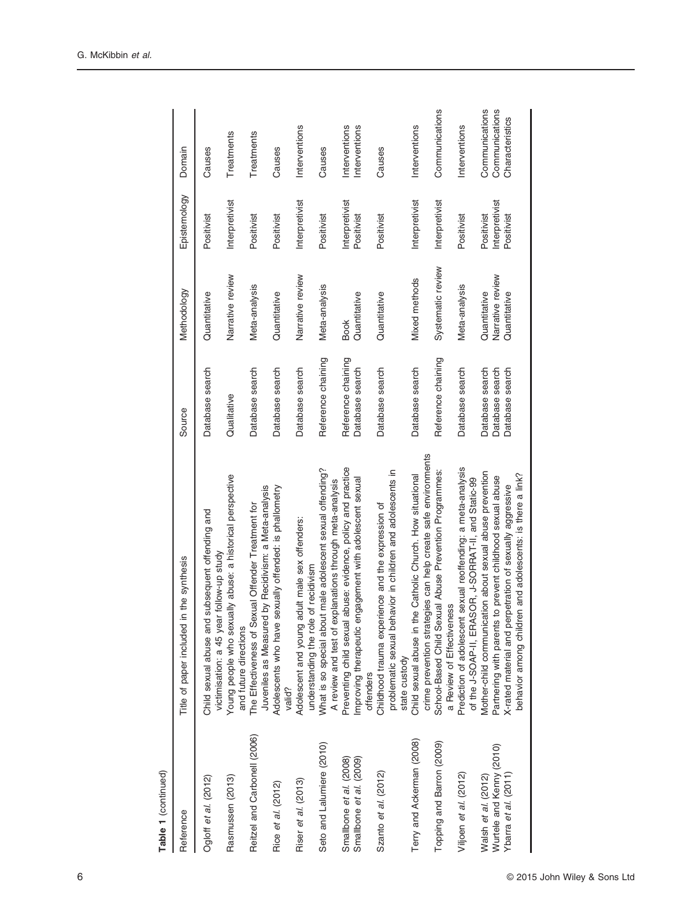| Table 1 (continued)          |                                                                                                                                                      |                    |                   |                |                 |
|------------------------------|------------------------------------------------------------------------------------------------------------------------------------------------------|--------------------|-------------------|----------------|-----------------|
| Reference                    | in the synthesis<br>Title of paper included                                                                                                          | Source             | Methodology       | Epistemology   | Domain          |
| Ogloff et al. (2012)         | id subsequent offending and<br>victimisation: a 45 year follow-up study<br>Child sexual abuse an                                                     | Database search    | Quantitative      | Positivist     | Causes          |
| Rasmussen (2013)             | Young people who sexually abuse: a historical perspective<br>and future directions                                                                   | Qualitative        | Narrative review  | Interpretivist | Treatments      |
| Reitzel and Carbonell (2006) | Juveniles as Measured by Recidivism: a Meta-analysis<br>The Effectiveness of Sexual Offender Treatment for                                           | Database search    | Meta-analysis     | Positivist     | Treatments      |
| Rice et al. (2012)           | Adolescents who have sexually offended: is phallometry<br>valid?                                                                                     | Database search    | Quantitative      | Positivist     | Causes          |
| Riser et al. (2013)          | adult male sex offenders:<br>le of recidivism<br>Adolescent and young<br>understanding the rol                                                       | Database search    | Narrative review  | Interpretivist | Interventions   |
| Seto and Lalumiere (2010)    | What is so special about male adolescent sexual offending?<br>explanations through meta-analysis<br>A review and test of                             | Reference chaining | Meta-analysis     | Positivist     | Causes          |
| Smallbone et al. (2008)      | Preventing child sexual abuse: evidence, policy and practice                                                                                         | Reference chaining | <b>Book</b>       | Interpretivist | Interventions   |
| Smallbone et al. (2009)      | engagement with adolescent sexual<br>Improving therapeutic<br>offenders                                                                              | Database search    | Quantitative      | Positivist     | Interventions   |
| Szanto et al. (2012)         | problematic sexual behavior in children and adolescents in<br>Childhood trauma experience and the expression of<br>state custody                     | Database search    | Quantitative      | Positivist     | Causes          |
| Terry and Ackerman (2008)    | Child sexual abuse in the Catholic Church. How situational                                                                                           | Database search    | Mixed methods     | Interpretivist | Interventions   |
| Topping and Barron (2009)    | crime prevention strategies can help create safe environments<br>School-Based Child Sexual Abuse Prevention Programmes:<br>a Review of Effectiveness | Reference chaining | Systematic review | Interpretivist | Communications  |
| Viljoen et al. (2012)        | Prediction of adolescent sexual reoffending: a meta-analysis<br>of the J-SOAP-II, ERASOR, J-SORRAT-II, and Static-99                                 | Database search    | Meta-analysis     | Positivist     | Interventions   |
| Walsh et al. (2012)          | Mother-child communication about sexual abuse prevention                                                                                             | Database search    | Quantitative      | Positivist     | Communications  |
| Wurtele and Kenny (2010)     | Partnering with parents to prevent childhood sexual abuse                                                                                            | Database search    | Narrative review  | Interpretivist | Communications  |
| Ybarra et al. (2011)         | behavior among children and adolescents: is there a link?<br>X-rated material and perpetration of sexually aggressive                                | Database search    | Quantitative      | Positivist     | Characteristics |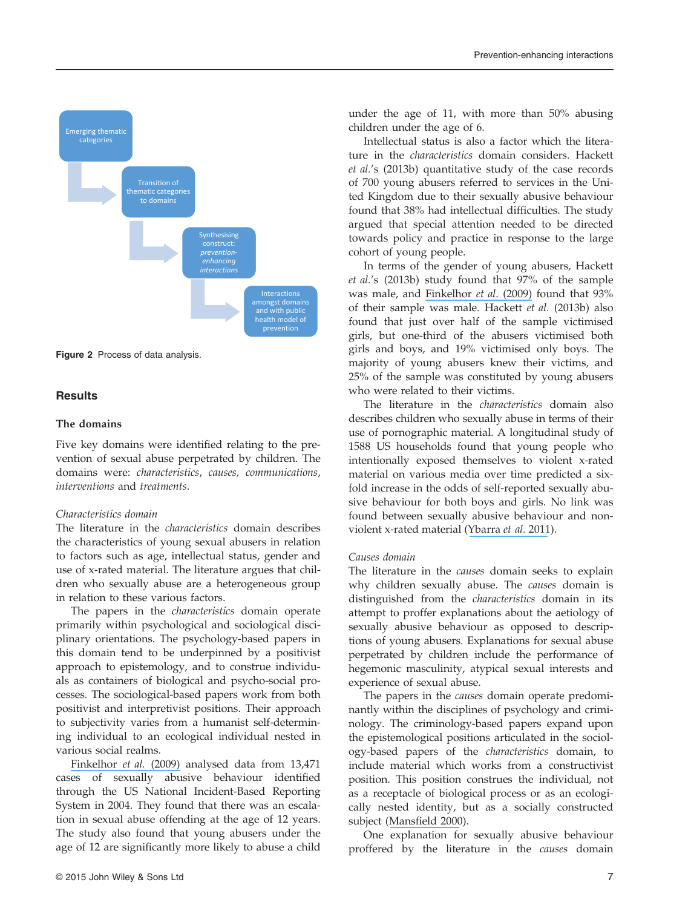

Figure 2 Process of data analysis.

#### **Results**

#### The domains

Five key domains were identified relating to the prevention of sexual abuse perpetrated by children. The domains were: characteristics, causes, communications, interventions and treatments.

#### Characteristics domain

The literature in the characteristics domain describes the characteristics of young sexual abusers in relation to factors such as age, intellectual status, gender and use of x-rated material. The literature argues that children who sexually abuse are a heterogeneous group in relation to these various factors.

The papers in the characteristics domain operate primarily within psychological and sociological disciplinary orientations. The psychology-based papers in this domain tend to be underpinned by a positivist approach to epistemology, and to construe individuals as containers of biological and psycho-social processes. The sociological-based papers work from both positivist and interpretivist positions. Their approach to subjectivity varies from a humanist self-determining individual to an ecological individual nested in various social realms.

[Finkelhor](https://www.researchgate.net/publication/253386499_Juveniles_Who_Commit_Sex_Offenses_Against_Minors?el=1_x_8&enrichId=rgreq-ce9b6f40ffd378a615ee4c3b6dcd8df2-XXX&enrichSource=Y292ZXJQYWdlOzI3OTA2ODIzNDtBUzoyODQ2ODA4MzExNjAzMjBAMTQ0NDg4NDYwNzA2Mw==) et al. (2009) analysed data from 13,471 cases of sexually abusive behaviour identified through the US National Incident-Based Reporting System in 2004. They found that there was an escalation in sexual abuse offending at the age of 12 years. The study also found that young abusers under the age of 12 are significantly more likely to abuse a child under the age of 11, with more than 50% abusing children under the age of 6.

Intellectual status is also a factor which the literature in the characteristics domain considers. Hackett et al.'s (2013b) quantitative study of the case records of 700 young abusers referred to services in the United Kingdom due to their sexually abusive behaviour found that 38% had intellectual difficulties. The study argued that special attention needed to be directed towards policy and practice in response to the large cohort of young people.

In terms of the gender of young abusers, Hackett et al.'s (2013b) study found that 97% of the sample was male, and [Finkelhor](https://www.researchgate.net/publication/253386499_Juveniles_Who_Commit_Sex_Offenses_Against_Minors?el=1_x_8&enrichId=rgreq-ce9b6f40ffd378a615ee4c3b6dcd8df2-XXX&enrichSource=Y292ZXJQYWdlOzI3OTA2ODIzNDtBUzoyODQ2ODA4MzExNjAzMjBAMTQ0NDg4NDYwNzA2Mw==) et al. (2009) found that 93% of their sample was male. Hackett et al. (2013b) also found that just over half of the sample victimised girls, but one-third of the abusers victimised both girls and boys, and 19% victimised only boys. The majority of young abusers knew their victims, and 25% of the sample was constituted by young abusers who were related to their victims.

The literature in the characteristics domain also describes children who sexually abuse in terms of their use of pornographic material. A longitudinal study of 1588 US households found that young people who intentionally exposed themselves to violent x-rated material on various media over time predicted a sixfold increase in the odds of self-reported sexually abusive behaviour for both boys and girls. No link was found between sexually abusive behaviour and nonviolent x-rated material ([Ybarra](https://www.researchgate.net/publication/47662480_X-Rated_Material_and_Perpetration_of_Sexually_Aggressive_Behavior_Among_Children_and_Adolescents_Is_There_a_Link?el=1_x_8&enrichId=rgreq-ce9b6f40ffd378a615ee4c3b6dcd8df2-XXX&enrichSource=Y292ZXJQYWdlOzI3OTA2ODIzNDtBUzoyODQ2ODA4MzExNjAzMjBAMTQ0NDg4NDYwNzA2Mw==) et al. 2011).

#### Causes domain

The literature in the causes domain seeks to explain why children sexually abuse. The causes domain is distinguished from the characteristics domain in its attempt to proffer explanations about the aetiology of sexually abusive behaviour as opposed to descriptions of young abusers. Explanations for sexual abuse perpetrated by children include the performance of hegemonic masculinity, atypical sexual interests and experience of sexual abuse.

The papers in the *causes* domain operate predominantly within the disciplines of psychology and criminology. The criminology-based papers expand upon the epistemological positions articulated in the sociology-based papers of the characteristics domain, to include material which works from a constructivist position. This position construes the individual, not as a receptacle of biological process or as an ecologically nested identity, but as a socially constructed subject (Mansfi[eld 2000](https://www.researchgate.net/publication/200026863_Subjectivity_Theories_of_the_Self_from_Freud_to_Haraway?el=1_x_8&enrichId=rgreq-ce9b6f40ffd378a615ee4c3b6dcd8df2-XXX&enrichSource=Y292ZXJQYWdlOzI3OTA2ODIzNDtBUzoyODQ2ODA4MzExNjAzMjBAMTQ0NDg4NDYwNzA2Mw==)).

One explanation for sexually abusive behaviour proffered by the literature in the causes domain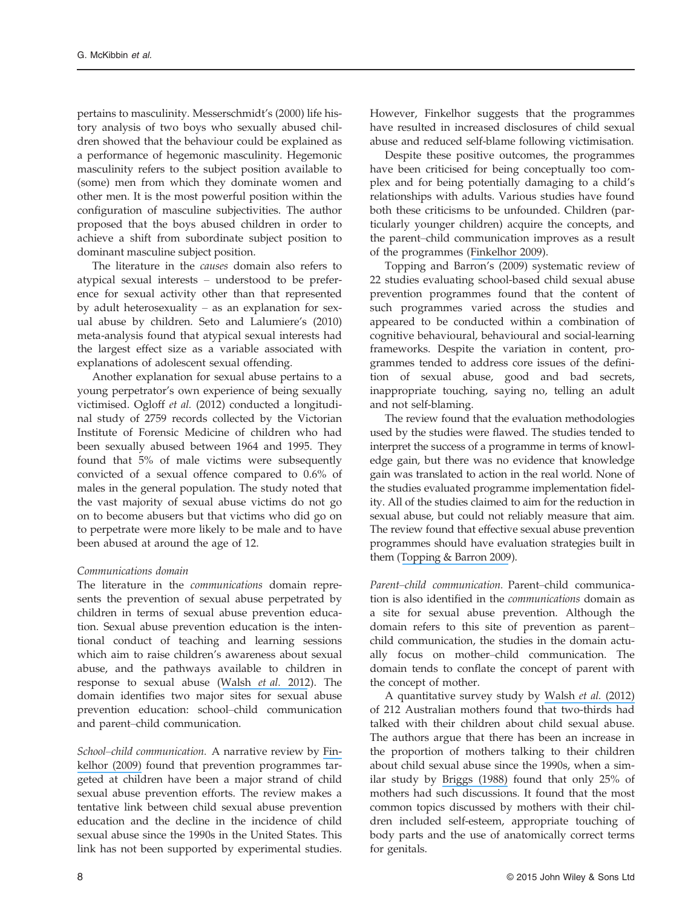pertains to masculinity. Messerschmidt's (2000) life history analysis of two boys who sexually abused children showed that the behaviour could be explained as a performance of hegemonic masculinity. Hegemonic masculinity refers to the subject position available to (some) men from which they dominate women and other men. It is the most powerful position within the configuration of masculine subjectivities. The author proposed that the boys abused children in order to achieve a shift from subordinate subject position to dominant masculine subject position.

The literature in the causes domain also refers to atypical sexual interests – understood to be preference for sexual activity other than that represented by adult heterosexuality – as an explanation for sexual abuse by children. Seto and Lalumiere's (2010) meta-analysis found that atypical sexual interests had the largest effect size as a variable associated with explanations of adolescent sexual offending.

Another explanation for sexual abuse pertains to a young perpetrator's own experience of being sexually victimised. Ogloff et al. (2012) conducted a longitudinal study of 2759 records collected by the Victorian Institute of Forensic Medicine of children who had been sexually abused between 1964 and 1995. They found that 5% of male victims were subsequently convicted of a sexual offence compared to 0.6% of males in the general population. The study noted that the vast majority of sexual abuse victims do not go on to become abusers but that victims who did go on to perpetrate were more likely to be male and to have been abused at around the age of 12.

#### Communications domain

The literature in the communications domain represents the prevention of sexual abuse perpetrated by children in terms of sexual abuse prevention education. Sexual abuse prevention education is the intentional conduct of teaching and learning sessions which aim to raise children's awareness about sexual abuse, and the pathways available to children in response to sexual abuse ([Walsh](https://www.researchgate.net/publication/229324520_Mother-Child_Communication_about_Sexual_Abuse_Prevention?el=1_x_8&enrichId=rgreq-ce9b6f40ffd378a615ee4c3b6dcd8df2-XXX&enrichSource=Y292ZXJQYWdlOzI3OTA2ODIzNDtBUzoyODQ2ODA4MzExNjAzMjBAMTQ0NDg4NDYwNzA2Mw==) et al. 2012). The domain identifies two major sites for sexual abuse prevention education: school–child communication and parent–child communication.

School–child communication. A narrative review by [Fin](https://www.researchgate.net/publication/26778779_The_Prevention_of_Childhood_Sexual_Abuse?el=1_x_8&enrichId=rgreq-ce9b6f40ffd378a615ee4c3b6dcd8df2-XXX&enrichSource=Y292ZXJQYWdlOzI3OTA2ODIzNDtBUzoyODQ2ODA4MzExNjAzMjBAMTQ0NDg4NDYwNzA2Mw==)[kelhor \(2009\)](https://www.researchgate.net/publication/26778779_The_Prevention_of_Childhood_Sexual_Abuse?el=1_x_8&enrichId=rgreq-ce9b6f40ffd378a615ee4c3b6dcd8df2-XXX&enrichSource=Y292ZXJQYWdlOzI3OTA2ODIzNDtBUzoyODQ2ODA4MzExNjAzMjBAMTQ0NDg4NDYwNzA2Mw==) found that prevention programmes targeted at children have been a major strand of child sexual abuse prevention efforts. The review makes a tentative link between child sexual abuse prevention education and the decline in the incidence of child sexual abuse since the 1990s in the United States. This link has not been supported by experimental studies.

However, Finkelhor suggests that the programmes have resulted in increased disclosures of child sexual abuse and reduced self-blame following victimisation.

Despite these positive outcomes, the programmes have been criticised for being conceptually too complex and for being potentially damaging to a child's relationships with adults. Various studies have found both these criticisms to be unfounded. Children (particularly younger children) acquire the concepts, and the parent–child communication improves as a result of the programmes ([Finkelhor 2009](https://www.researchgate.net/publication/26778779_The_Prevention_of_Childhood_Sexual_Abuse?el=1_x_8&enrichId=rgreq-ce9b6f40ffd378a615ee4c3b6dcd8df2-XXX&enrichSource=Y292ZXJQYWdlOzI3OTA2ODIzNDtBUzoyODQ2ODA4MzExNjAzMjBAMTQ0NDg4NDYwNzA2Mw==)).

Topping and Barron's (2009) systematic review of 22 studies evaluating school-based child sexual abuse prevention programmes found that the content of such programmes varied across the studies and appeared to be conducted within a combination of cognitive behavioural, behavioural and social-learning frameworks. Despite the variation in content, programmes tended to address core issues of the definition of sexual abuse, good and bad secrets, inappropriate touching, saying no, telling an adult and not self-blaming.

The review found that the evaluation methodologies used by the studies were flawed. The studies tended to interpret the success of a programme in terms of knowledge gain, but there was no evidence that knowledge gain was translated to action in the real world. None of the studies evaluated programme implementation fidelity. All of the studies claimed to aim for the reduction in sexual abuse, but could not reliably measure that aim. The review found that effective sexual abuse prevention programmes should have evaluation strategies built in them ([Topping & Barron 2009](https://www.researchgate.net/publication/258182779_School-Based_Child_Sexual_Abuse_Prevention_Programs_A_Review_of_Effectiveness?el=1_x_8&enrichId=rgreq-ce9b6f40ffd378a615ee4c3b6dcd8df2-XXX&enrichSource=Y292ZXJQYWdlOzI3OTA2ODIzNDtBUzoyODQ2ODA4MzExNjAzMjBAMTQ0NDg4NDYwNzA2Mw==)).

Parent–child communication. Parent–child communication is also identified in the communications domain as a site for sexual abuse prevention. Although the domain refers to this site of prevention as parent– child communication, the studies in the domain actually focus on mother–child communication. The domain tends to conflate the concept of parent with the concept of mother.

A quantitative survey study by [Walsh](https://www.researchgate.net/publication/229324520_Mother-Child_Communication_about_Sexual_Abuse_Prevention?el=1_x_8&enrichId=rgreq-ce9b6f40ffd378a615ee4c3b6dcd8df2-XXX&enrichSource=Y292ZXJQYWdlOzI3OTA2ODIzNDtBUzoyODQ2ODA4MzExNjAzMjBAMTQ0NDg4NDYwNzA2Mw==) et al. (2012) of 212 Australian mothers found that two-thirds had talked with their children about child sexual abuse. The authors argue that there has been an increase in the proportion of mothers talking to their children about child sexual abuse since the 1990s, when a similar study by [Briggs \(1988\)](https://www.researchgate.net/publication/247499116_South_Australian_Parents_want_Child_Protection_Programs_to_be_offered_in_Schools_and_PreSchools?el=1_x_8&enrichId=rgreq-ce9b6f40ffd378a615ee4c3b6dcd8df2-XXX&enrichSource=Y292ZXJQYWdlOzI3OTA2ODIzNDtBUzoyODQ2ODA4MzExNjAzMjBAMTQ0NDg4NDYwNzA2Mw==) found that only 25% of mothers had such discussions. It found that the most common topics discussed by mothers with their children included self-esteem, appropriate touching of body parts and the use of anatomically correct terms for genitals.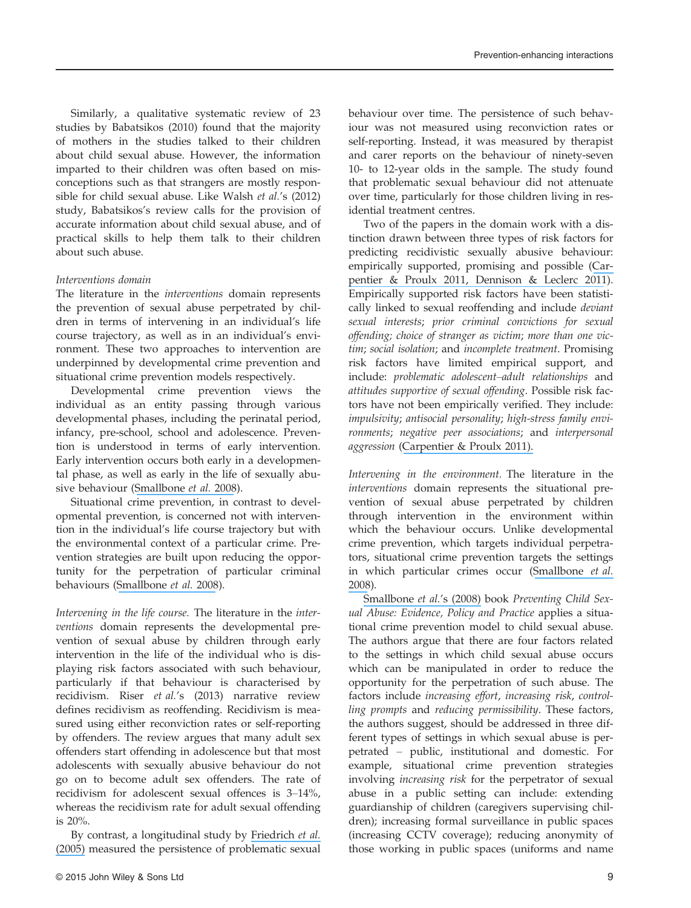Similarly, a qualitative systematic review of 23 studies by Babatsikos (2010) found that the majority of mothers in the studies talked to their children about child sexual abuse. However, the information imparted to their children was often based on misconceptions such as that strangers are mostly responsible for child sexual abuse. Like Walsh et al.'s (2012) study, Babatsikos's review calls for the provision of accurate information about child sexual abuse, and of practical skills to help them talk to their children about such abuse.

#### Interventions domain

The literature in the interventions domain represents the prevention of sexual abuse perpetrated by children in terms of intervening in an individual's life course trajectory, as well as in an individual's environment. These two approaches to intervention are underpinned by developmental crime prevention and situational crime prevention models respectively.

Developmental crime prevention views the individual as an entity passing through various developmental phases, including the perinatal period, infancy, pre-school, school and adolescence. Prevention is understood in terms of early intervention. Early intervention occurs both early in a developmental phase, as well as early in the life of sexually abusive behaviour ([Smallbone](https://www.researchgate.net/publication/48381578_Preventing_Child_Sexual_Abuse_Evidence_Policy_and_Practice?el=1_x_8&enrichId=rgreq-ce9b6f40ffd378a615ee4c3b6dcd8df2-XXX&enrichSource=Y292ZXJQYWdlOzI3OTA2ODIzNDtBUzoyODQ2ODA4MzExNjAzMjBAMTQ0NDg4NDYwNzA2Mw==) et al. 2008).

Situational crime prevention, in contrast to developmental prevention, is concerned not with intervention in the individual's life course trajectory but with the environmental context of a particular crime. Prevention strategies are built upon reducing the opportunity for the perpetration of particular criminal behaviours ([Smallbone](https://www.researchgate.net/publication/48381578_Preventing_Child_Sexual_Abuse_Evidence_Policy_and_Practice?el=1_x_8&enrichId=rgreq-ce9b6f40ffd378a615ee4c3b6dcd8df2-XXX&enrichSource=Y292ZXJQYWdlOzI3OTA2ODIzNDtBUzoyODQ2ODA4MzExNjAzMjBAMTQ0NDg4NDYwNzA2Mw==) et al. 2008).

Intervening in the life course. The literature in the interventions domain represents the developmental prevention of sexual abuse by children through early intervention in the life of the individual who is displaying risk factors associated with such behaviour, particularly if that behaviour is characterised by recidivism. Riser et al.'s (2013) narrative review defines recidivism as reoffending. Recidivism is measured using either reconviction rates or self-reporting by offenders. The review argues that many adult sex offenders start offending in adolescence but that most adolescents with sexually abusive behaviour do not go on to become adult sex offenders. The rate of recidivism for adolescent sexual offences is 3–14%, whereas the recidivism rate for adult sexual offending is 20%.

By contrast, a longitudinal study by [Friedrich](https://www.researchgate.net/publication/7427630_Youth_with_Problematic_Sexualized_Behaviors_in_the_Child_Welfare_System_A_One-Year_Longitudinal_Study?el=1_x_8&enrichId=rgreq-ce9b6f40ffd378a615ee4c3b6dcd8df2-XXX&enrichSource=Y292ZXJQYWdlOzI3OTA2ODIzNDtBUzoyODQ2ODA4MzExNjAzMjBAMTQ0NDg4NDYwNzA2Mw==) et al. [\(2005\)](https://www.researchgate.net/publication/7427630_Youth_with_Problematic_Sexualized_Behaviors_in_the_Child_Welfare_System_A_One-Year_Longitudinal_Study?el=1_x_8&enrichId=rgreq-ce9b6f40ffd378a615ee4c3b6dcd8df2-XXX&enrichSource=Y292ZXJQYWdlOzI3OTA2ODIzNDtBUzoyODQ2ODA4MzExNjAzMjBAMTQ0NDg4NDYwNzA2Mw==) measured the persistence of problematic sexual

© 2015 John Wiley & Sons Ltd 9

behaviour over time. The persistence of such behaviour was not measured using reconviction rates or self-reporting. Instead, it was measured by therapist and carer reports on the behaviour of ninety-seven 10- to 12-year olds in the sample. The study found that problematic sexual behaviour did not attenuate over time, particularly for those children living in residential treatment centres.

Two of the papers in the domain work with a distinction drawn between three types of risk factors for predicting recidivistic sexually abusive behaviour: empirically supported, promising and possible ([Car](https://www.researchgate.net/publication/51682679_Correlates_of_Recidivism_Among_Adolescents_Who_Have_Sexually_Offended?el=1_x_8&enrichId=rgreq-ce9b6f40ffd378a615ee4c3b6dcd8df2-XXX&enrichSource=Y292ZXJQYWdlOzI3OTA2ODIzNDtBUzoyODQ2ODA4MzExNjAzMjBAMTQ0NDg4NDYwNzA2Mw==)[pentier & Proulx 2011](https://www.researchgate.net/publication/51682679_Correlates_of_Recidivism_Among_Adolescents_Who_Have_Sexually_Offended?el=1_x_8&enrichId=rgreq-ce9b6f40ffd378a615ee4c3b6dcd8df2-XXX&enrichSource=Y292ZXJQYWdlOzI3OTA2ODIzNDtBUzoyODQ2ODA4MzExNjAzMjBAMTQ0NDg4NDYwNzA2Mw==)[, Dennison & Leclerc 2011](https://www.researchgate.net/publication/241645157_Developmental_Factors_in_Adolescent_Child_Sexual_Offenders_A_Comparison_of_Nonrepeat_and_Repeat_Sexual_Offenders?el=1_x_8&enrichId=rgreq-ce9b6f40ffd378a615ee4c3b6dcd8df2-XXX&enrichSource=Y292ZXJQYWdlOzI3OTA2ODIzNDtBUzoyODQ2ODA4MzExNjAzMjBAMTQ0NDg4NDYwNzA2Mw==)). Empirically supported risk factors have been statistically linked to sexual reoffending and include deviant sexual interests; prior criminal convictions for sexual offending; choice of stranger as victim; more than one victim; social isolation; and incomplete treatment. Promising risk factors have limited empirical support, and include: problematic adolescent–adult relationships and attitudes supportive of sexual offending. Possible risk factors have not been empirically verified. They include: impulsivity; antisocial personality; high-stress family environments; negative peer associations; and interpersonal aggression ([Carpentier & Proulx 2011\).](https://www.researchgate.net/publication/51682679_Correlates_of_Recidivism_Among_Adolescents_Who_Have_Sexually_Offended?el=1_x_8&enrichId=rgreq-ce9b6f40ffd378a615ee4c3b6dcd8df2-XXX&enrichSource=Y292ZXJQYWdlOzI3OTA2ODIzNDtBUzoyODQ2ODA4MzExNjAzMjBAMTQ0NDg4NDYwNzA2Mw==)

Intervening in the environment. The literature in the interventions domain represents the situational prevention of sexual abuse perpetrated by children through intervention in the environment within which the behaviour occurs. Unlike developmental crime prevention, which targets individual perpetrators, situational crime prevention targets the settings in which particular crimes occur ([Smallbone](https://www.researchgate.net/publication/48381578_Preventing_Child_Sexual_Abuse_Evidence_Policy_and_Practice?el=1_x_8&enrichId=rgreq-ce9b6f40ffd378a615ee4c3b6dcd8df2-XXX&enrichSource=Y292ZXJQYWdlOzI3OTA2ODIzNDtBUzoyODQ2ODA4MzExNjAzMjBAMTQ0NDg4NDYwNzA2Mw==) et al. [2008](https://www.researchgate.net/publication/48381578_Preventing_Child_Sexual_Abuse_Evidence_Policy_and_Practice?el=1_x_8&enrichId=rgreq-ce9b6f40ffd378a615ee4c3b6dcd8df2-XXX&enrichSource=Y292ZXJQYWdlOzI3OTA2ODIzNDtBUzoyODQ2ODA4MzExNjAzMjBAMTQ0NDg4NDYwNzA2Mw==)).

[Smallbone](https://www.researchgate.net/publication/48381578_Preventing_Child_Sexual_Abuse_Evidence_Policy_and_Practice?el=1_x_8&enrichId=rgreq-ce9b6f40ffd378a615ee4c3b6dcd8df2-XXX&enrichSource=Y292ZXJQYWdlOzI3OTA2ODIzNDtBUzoyODQ2ODA4MzExNjAzMjBAMTQ0NDg4NDYwNzA2Mw==) et al.'s (2008) book Preventing Child Sexual Abuse: Evidence, Policy and Practice applies a situational crime prevention model to child sexual abuse. The authors argue that there are four factors related to the settings in which child sexual abuse occurs which can be manipulated in order to reduce the opportunity for the perpetration of such abuse. The factors include increasing effort, increasing risk, controlling prompts and reducing permissibility. These factors, the authors suggest, should be addressed in three different types of settings in which sexual abuse is perpetrated – public, institutional and domestic. For example, situational crime prevention strategies involving increasing risk for the perpetrator of sexual abuse in a public setting can include: extending guardianship of children (caregivers supervising children); increasing formal surveillance in public spaces (increasing CCTV coverage); reducing anonymity of those working in public spaces (uniforms and name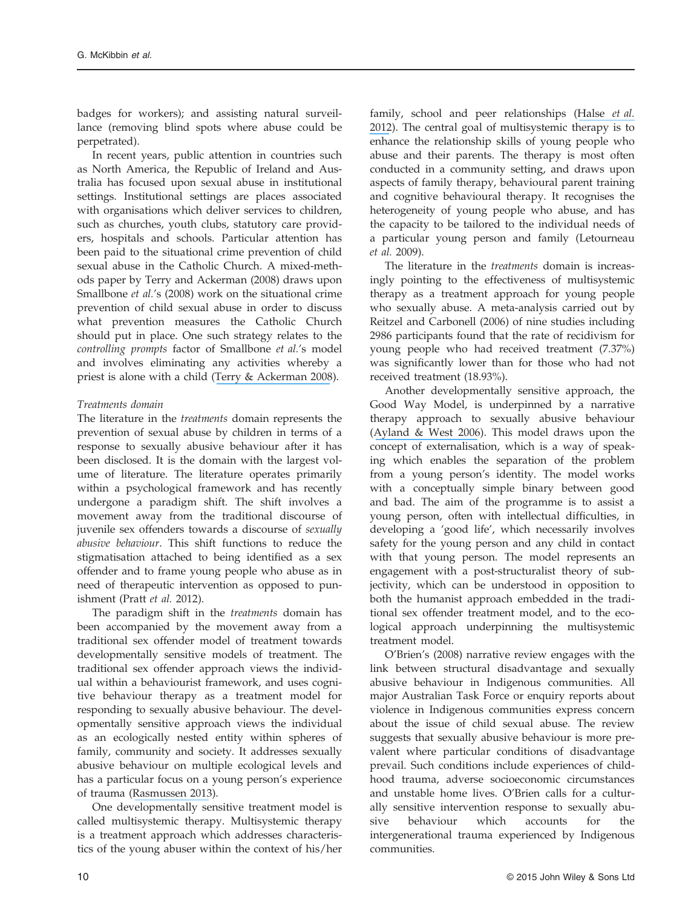badges for workers); and assisting natural surveillance (removing blind spots where abuse could be perpetrated).

In recent years, public attention in countries such as North America, the Republic of Ireland and Australia has focused upon sexual abuse in institutional settings. Institutional settings are places associated with organisations which deliver services to children, such as churches, youth clubs, statutory care providers, hospitals and schools. Particular attention has been paid to the situational crime prevention of child sexual abuse in the Catholic Church. A mixed-methods paper by Terry and Ackerman (2008) draws upon Smallbone et al.'s (2008) work on the situational crime prevention of child sexual abuse in order to discuss what prevention measures the Catholic Church should put in place. One such strategy relates to the controlling prompts factor of Smallbone et al.'s model and involves eliminating any activities whereby a priest is alone with a child ([Terry & Ackerman 2008](https://www.researchgate.net/publication/247745153_Child_Sexual_Abuse_in_the_Catholic_ChurchHow_Situational_Crime_Prevention_Strategies_Can_Help_Create_Safe_Environments?el=1_x_8&enrichId=rgreq-ce9b6f40ffd378a615ee4c3b6dcd8df2-XXX&enrichSource=Y292ZXJQYWdlOzI3OTA2ODIzNDtBUzoyODQ2ODA4MzExNjAzMjBAMTQ0NDg4NDYwNzA2Mw==)).

#### Treatments domain

The literature in the treatments domain represents the prevention of sexual abuse by children in terms of a response to sexually abusive behaviour after it has been disclosed. It is the domain with the largest volume of literature. The literature operates primarily within a psychological framework and has recently undergone a paradigm shift. The shift involves a movement away from the traditional discourse of juvenile sex offenders towards a discourse of sexually abusive behaviour. This shift functions to reduce the stigmatisation attached to being identified as a sex offender and to frame young people who abuse as in need of therapeutic intervention as opposed to punishment (Pratt et al. 2012).

The paradigm shift in the treatments domain has been accompanied by the movement away from a traditional sex offender model of treatment towards developmentally sensitive models of treatment. The traditional sex offender approach views the individual within a behaviourist framework, and uses cognitive behaviour therapy as a treatment model for responding to sexually abusive behaviour. The developmentally sensitive approach views the individual as an ecologically nested entity within spheres of family, community and society. It addresses sexually abusive behaviour on multiple ecological levels and has a particular focus on a young person's experience of trauma ([Rasmussen 2013](https://www.researchgate.net/publication/235372750_Young_People_Who_Sexually_Abuse_A_Historical_Perspective_and_Future_Directions?el=1_x_8&enrichId=rgreq-ce9b6f40ffd378a615ee4c3b6dcd8df2-XXX&enrichSource=Y292ZXJQYWdlOzI3OTA2ODIzNDtBUzoyODQ2ODA4MzExNjAzMjBAMTQ0NDg4NDYwNzA2Mw==)).

One developmentally sensitive treatment model is called multisystemic therapy. Multisystemic therapy is a treatment approach which addresses characteristics of the young abuser within the context of his/her

family, school and peer relationships ([Halse](https://www.researchgate.net/publication/239795096_Intrafamilial_Adolescent_Sex_Offenders) et al. [2012](https://www.researchgate.net/publication/239795096_Intrafamilial_Adolescent_Sex_Offenders)). The central goal of multisystemic therapy is to enhance the relationship skills of young people who abuse and their parents. The therapy is most often conducted in a community setting, and draws upon aspects of family therapy, behavioural parent training and cognitive behavioural therapy. It recognises the heterogeneity of young people who abuse, and has the capacity to be tailored to the individual needs of a particular young person and family (Letourneau et al. 2009).

The literature in the treatments domain is increasingly pointing to the effectiveness of multisystemic therapy as a treatment approach for young people who sexually abuse. A meta-analysis carried out by Reitzel and Carbonell (2006) of nine studies including 2986 participants found that the rate of recidivism for young people who had received treatment (7.37%) was significantly lower than for those who had not received treatment (18.93%).

Another developmentally sensitive approach, the Good Way Model, is underpinned by a narrative therapy approach to sexually abusive behaviour ([Ayland & West 2006](https://www.researchgate.net/publication/232902420_The_Good_Way_model_A_strengths-based_approach_for_working_with_young_people_especially_those_with_intellectual_difficulties_who_have_sexually_abusive_behaviour?el=1_x_8&enrichId=rgreq-ce9b6f40ffd378a615ee4c3b6dcd8df2-XXX&enrichSource=Y292ZXJQYWdlOzI3OTA2ODIzNDtBUzoyODQ2ODA4MzExNjAzMjBAMTQ0NDg4NDYwNzA2Mw==)). This model draws upon the concept of externalisation, which is a way of speaking which enables the separation of the problem from a young person's identity. The model works with a conceptually simple binary between good and bad. The aim of the programme is to assist a young person, often with intellectual difficulties, in developing a 'good life', which necessarily involves safety for the young person and any child in contact with that young person. The model represents an engagement with a post-structuralist theory of subjectivity, which can be understood in opposition to both the humanist approach embedded in the traditional sex offender treatment model, and to the ecological approach underpinning the multisystemic treatment model.

O'Brien's (2008) narrative review engages with the link between structural disadvantage and sexually abusive behaviour in Indigenous communities. All major Australian Task Force or enquiry reports about violence in Indigenous communities express concern about the issue of child sexual abuse. The review suggests that sexually abusive behaviour is more prevalent where particular conditions of disadvantage prevail. Such conditions include experiences of childhood trauma, adverse socioeconomic circumstances and unstable home lives. O'Brien calls for a culturally sensitive intervention response to sexually abusive behaviour which accounts for the intergenerational trauma experienced by Indigenous communities.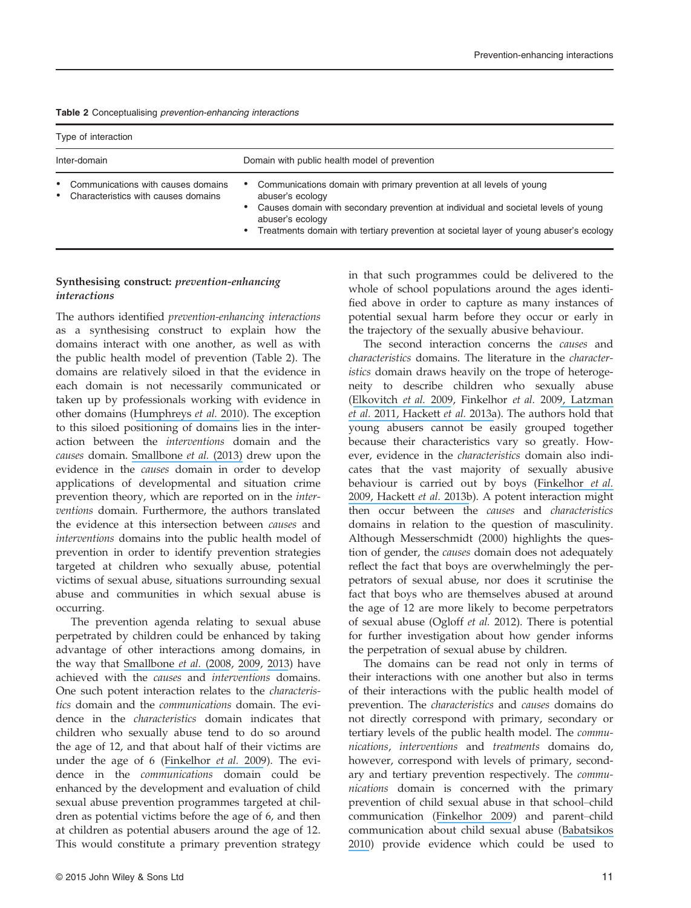|  | Table 2 Conceptualising prevention-enhancing interactions |  |
|--|-----------------------------------------------------------|--|
|  |                                                           |  |

| Type of interaction                                                           |                                                                                                                                                                                                                                                                                                    |  |  |
|-------------------------------------------------------------------------------|----------------------------------------------------------------------------------------------------------------------------------------------------------------------------------------------------------------------------------------------------------------------------------------------------|--|--|
| Inter-domain                                                                  | Domain with public health model of prevention                                                                                                                                                                                                                                                      |  |  |
| • Communications with causes domains<br>• Characteristics with causes domains | • Communications domain with primary prevention at all levels of young<br>abuser's ecology<br>• Causes domain with secondary prevention at individual and societal levels of young<br>abuser's ecology<br>• Treatments domain with tertiary prevention at societal layer of young abuser's ecology |  |  |

## Synthesising construct: prevention-enhancing

The authors identified prevention-enhancing interactions as a synthesising construct to explain how the domains interact with one another, as well as with the public health model of prevention (Table 2). The domains are relatively siloed in that the evidence in each domain is not necessarily communicated or taken up by professionals working with evidence in other domains ([Humphreys](https://www.researchgate.net/publication/240591110_Readiness_to_Change_Mother-Child_Relationship_and_Domestic_Violence_Intervention?el=1_x_8&enrichId=rgreq-ce9b6f40ffd378a615ee4c3b6dcd8df2-XXX&enrichSource=Y292ZXJQYWdlOzI3OTA2ODIzNDtBUzoyODQ2ODA4MzExNjAzMjBAMTQ0NDg4NDYwNzA2Mw==) et al. 2010). The exception to this siloed positioning of domains lies in the interaction between the interventions domain and the causes domain. [Smallbone](https://www.researchgate.net/publication/275724805_Youth_sexual_offending_Context_good-enough_lives_and_engaging_with_a_wider_prevention_agenda?el=1_x_8&enrichId=rgreq-ce9b6f40ffd378a615ee4c3b6dcd8df2-XXX&enrichSource=Y292ZXJQYWdlOzI3OTA2ODIzNDtBUzoyODQ2ODA4MzExNjAzMjBAMTQ0NDg4NDYwNzA2Mw==) et al. (2013) drew upon the evidence in the causes domain in order to develop applications of developmental and situation crime prevention theory, which are reported on in the interventions domain. Furthermore, the authors translated the evidence at this intersection between causes and interventions domains into the public health model of prevention in order to identify prevention strategies targeted at children who sexually abuse, potential victims of sexual abuse, situations surrounding sexual abuse and communities in which sexual abuse is occurring.

The prevention agenda relating to sexual abuse perpetrated by children could be enhanced by taking advantage of other interactions among domains, in the way that [Smallbone](https://www.researchgate.net/publication/48381578_Preventing_Child_Sexual_Abuse_Evidence_Policy_and_Practice?el=1_x_8&enrichId=rgreq-ce9b6f40ffd378a615ee4c3b6dcd8df2-XXX&enrichSource=Y292ZXJQYWdlOzI3OTA2ODIzNDtBUzoyODQ2ODA4MzExNjAzMjBAMTQ0NDg4NDYwNzA2Mw==) et al. (2008, [2009](https://www.researchgate.net/publication/40031148_Improving_Therapeutic_Engagement_with_Adolescent_Sexual_Offenders?el=1_x_8&enrichId=rgreq-ce9b6f40ffd378a615ee4c3b6dcd8df2-XXX&enrichSource=Y292ZXJQYWdlOzI3OTA2ODIzNDtBUzoyODQ2ODA4MzExNjAzMjBAMTQ0NDg4NDYwNzA2Mw==), [2013](https://www.researchgate.net/publication/275724805_Youth_sexual_offending_Context_good-enough_lives_and_engaging_with_a_wider_prevention_agenda?el=1_x_8&enrichId=rgreq-ce9b6f40ffd378a615ee4c3b6dcd8df2-XXX&enrichSource=Y292ZXJQYWdlOzI3OTA2ODIzNDtBUzoyODQ2ODA4MzExNjAzMjBAMTQ0NDg4NDYwNzA2Mw==)) have achieved with the causes and interventions domains. One such potent interaction relates to the characteristics domain and the communications domain. The evidence in the characteristics domain indicates that children who sexually abuse tend to do so around the age of 12, and that about half of their victims are under the age of 6 ([Finkelhor](https://www.researchgate.net/publication/253386499_Juveniles_Who_Commit_Sex_Offenses_Against_Minors?el=1_x_8&enrichId=rgreq-ce9b6f40ffd378a615ee4c3b6dcd8df2-XXX&enrichSource=Y292ZXJQYWdlOzI3OTA2ODIzNDtBUzoyODQ2ODA4MzExNjAzMjBAMTQ0NDg4NDYwNzA2Mw==) et al. 2009). The evidence in the communications domain could be enhanced by the development and evaluation of child sexual abuse prevention programmes targeted at children as potential victims before the age of 6, and then at children as potential abusers around the age of 12. This would constitute a primary prevention strategy

in that such programmes could be delivered to the whole of school populations around the ages identified above in order to capture as many instances of potential sexual harm before they occur or early in the trajectory of the sexually abusive behaviour.

The second interaction concerns the causes and characteristics domains. The literature in the characteristics domain draws heavily on the trope of heterogeneity to describe children who sexually abuse ([Elkovitch](https://www.researchgate.net/publication/26726749_Understanding_Child_Sexual_Behavior_Problems_A_Developmental_Psychopathology_Framework?el=1_x_8&enrichId=rgreq-ce9b6f40ffd378a615ee4c3b6dcd8df2-XXX&enrichSource=Y292ZXJQYWdlOzI3OTA2ODIzNDtBUzoyODQ2ODA4MzExNjAzMjBAMTQ0NDg4NDYwNzA2Mw==) et al. 2009, Finkelhor et al. 200[9, Latzman](https://www.researchgate.net/publication/51208235_Sexual_Offending_in_Adolescence_A_Comparison_of_Sibling_Offenders_and_Nonsibling_Offenders_across_Domains_of_Risk_and_Treatment_Need?el=1_x_8&enrichId=rgreq-ce9b6f40ffd378a615ee4c3b6dcd8df2-XXX&enrichSource=Y292ZXJQYWdlOzI3OTA2ODIzNDtBUzoyODQ2ODA4MzExNjAzMjBAMTQ0NDg4NDYwNzA2Mw==) [et al.](https://www.researchgate.net/publication/51208235_Sexual_Offending_in_Adolescence_A_Comparison_of_Sibling_Offenders_and_Nonsibling_Offenders_across_Domains_of_Risk_and_Treatment_Need?el=1_x_8&enrichId=rgreq-ce9b6f40ffd378a615ee4c3b6dcd8df2-XXX&enrichSource=Y292ZXJQYWdlOzI3OTA2ODIzNDtBUzoyODQ2ODA4MzExNjAzMjBAMTQ0NDg4NDYwNzA2Mw==) 201[1, Hackett](https://www.researchgate.net/publication/259547947_Community_Reactions_to_Young_People_Who_Have_Sexually_Abused_and_Their_Families_A_Shotgun_Blast_Not_a_Rifle_Shot?el=1_x_8&enrichId=rgreq-ce9b6f40ffd378a615ee4c3b6dcd8df2-XXX&enrichSource=Y292ZXJQYWdlOzI3OTA2ODIzNDtBUzoyODQ2ODA4MzExNjAzMjBAMTQ0NDg4NDYwNzA2Mw==) et al. 2013a). The authors hold that young abusers cannot be easily grouped together because their characteristics vary so greatly. However, evidence in the characteristics domain also indicates that the vast majority of sexually abusive behaviour is carried out by boys ([Finkelhor](https://www.researchgate.net/publication/253386499_Juveniles_Who_Commit_Sex_Offenses_Against_Minors?el=1_x_8&enrichId=rgreq-ce9b6f40ffd378a615ee4c3b6dcd8df2-XXX&enrichSource=Y292ZXJQYWdlOzI3OTA2ODIzNDtBUzoyODQ2ODA4MzExNjAzMjBAMTQ0NDg4NDYwNzA2Mw==) et al. [2009](https://www.researchgate.net/publication/253386499_Juveniles_Who_Commit_Sex_Offenses_Against_Minors?el=1_x_8&enrichId=rgreq-ce9b6f40ffd378a615ee4c3b6dcd8df2-XXX&enrichSource=Y292ZXJQYWdlOzI3OTA2ODIzNDtBUzoyODQ2ODA4MzExNjAzMjBAMTQ0NDg4NDYwNzA2Mw==)[, Hackett](https://www.researchgate.net/publication/264379649_Individual_Family_and_Abuse_Characteristics_of_700_British_Child_and_Adolescent_Sexual_Abusers?el=1_x_8&enrichId=rgreq-ce9b6f40ffd378a615ee4c3b6dcd8df2-XXX&enrichSource=Y292ZXJQYWdlOzI3OTA2ODIzNDtBUzoyODQ2ODA4MzExNjAzMjBAMTQ0NDg4NDYwNzA2Mw==) et al. 2013b). A potent interaction might then occur between the causes and characteristics domains in relation to the question of masculinity. Although Messerschmidt (2000) highlights the question of gender, the causes domain does not adequately reflect the fact that boys are overwhelmingly the perpetrators of sexual abuse, nor does it scrutinise the fact that boys who are themselves abused at around the age of 12 are more likely to become perpetrators of sexual abuse (Ogloff et al. 2012). There is potential for further investigation about how gender informs the perpetration of sexual abuse by children.

The domains can be read not only in terms of their interactions with one another but also in terms of their interactions with the public health model of prevention. The characteristics and causes domains do not directly correspond with primary, secondary or tertiary levels of the public health model. The communications, interventions and treatments domains do, however, correspond with levels of primary, secondary and tertiary prevention respectively. The communications domain is concerned with the primary prevention of child sexual abuse in that school–child communication ([Finkelhor 2009](https://www.researchgate.net/publication/26778779_The_Prevention_of_Childhood_Sexual_Abuse?el=1_x_8&enrichId=rgreq-ce9b6f40ffd378a615ee4c3b6dcd8df2-XXX&enrichSource=Y292ZXJQYWdlOzI3OTA2ODIzNDtBUzoyODQ2ODA4MzExNjAzMjBAMTQ0NDg4NDYwNzA2Mw==)) and parent–child communication about child sexual abuse ([Babatsikos](https://www.researchgate.net/publication/229565424_Parents) [2010](https://www.researchgate.net/publication/229565424_Parents)) provide evidence which could be used to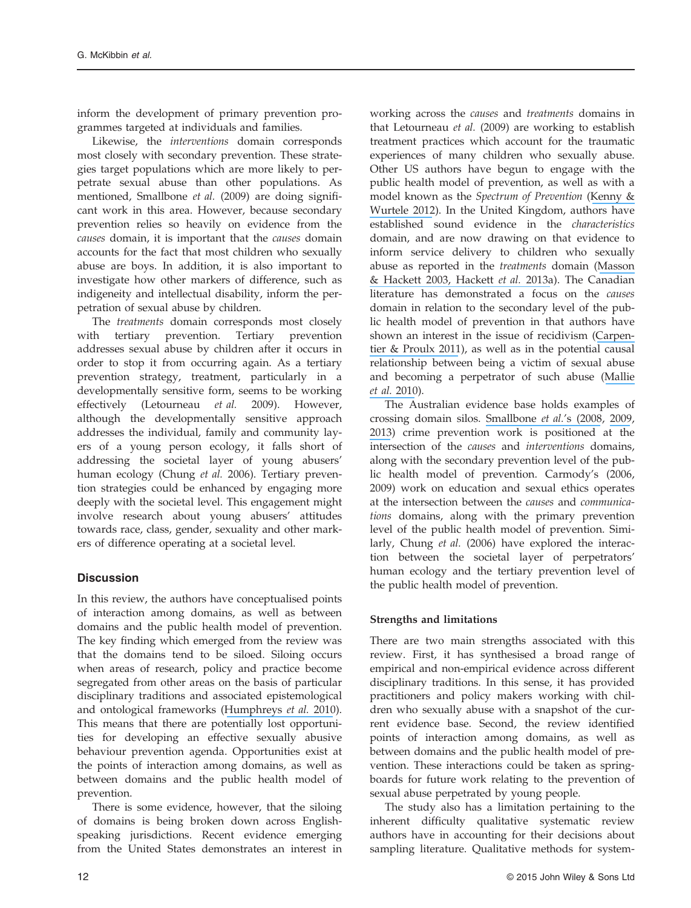inform the development of primary prevention programmes targeted at individuals and families.

Likewise, the interventions domain corresponds most closely with secondary prevention. These strategies target populations which are more likely to perpetrate sexual abuse than other populations. As mentioned, Smallbone et al. (2009) are doing significant work in this area. However, because secondary prevention relies so heavily on evidence from the causes domain, it is important that the causes domain accounts for the fact that most children who sexually abuse are boys. In addition, it is also important to investigate how other markers of difference, such as indigeneity and intellectual disability, inform the perpetration of sexual abuse by children.

The treatments domain corresponds most closely with tertiary prevention. Tertiary prevention addresses sexual abuse by children after it occurs in order to stop it from occurring again. As a tertiary prevention strategy, treatment, particularly in a developmentally sensitive form, seems to be working effectively (Letourneau et al. 2009). However, although the developmentally sensitive approach addresses the individual, family and community layers of a young person ecology, it falls short of addressing the societal layer of young abusers' human ecology (Chung et al. 2006). Tertiary prevention strategies could be enhanced by engaging more deeply with the societal level. This engagement might involve research about young abusers' attitudes towards race, class, gender, sexuality and other markers of difference operating at a societal level.

#### **Discussion**

In this review, the authors have conceptualised points of interaction among domains, as well as between domains and the public health model of prevention. The key finding which emerged from the review was that the domains tend to be siloed. Siloing occurs when areas of research, policy and practice become segregated from other areas on the basis of particular disciplinary traditions and associated epistemological and ontological frameworks ([Humphreys](https://www.researchgate.net/publication/240591110_Readiness_to_Change_Mother-Child_Relationship_and_Domestic_Violence_Intervention?el=1_x_8&enrichId=rgreq-ce9b6f40ffd378a615ee4c3b6dcd8df2-XXX&enrichSource=Y292ZXJQYWdlOzI3OTA2ODIzNDtBUzoyODQ2ODA4MzExNjAzMjBAMTQ0NDg4NDYwNzA2Mw==) et al. 2010). This means that there are potentially lost opportunities for developing an effective sexually abusive behaviour prevention agenda. Opportunities exist at the points of interaction among domains, as well as between domains and the public health model of prevention.

There is some evidence, however, that the siloing of domains is being broken down across Englishspeaking jurisdictions. Recent evidence emerging from the United States demonstrates an interest in

working across the causes and treatments domains in that Letourneau et al. (2009) are working to establish treatment practices which account for the traumatic experiences of many children who sexually abuse. Other US authors have begun to engage with the public health model of prevention, as well as with a model known as the Spectrum of Prevention ([Kenny &](https://www.researchgate.net/publication/229324516_Preventing_Childhood_Sexual_Abuse_An_Ecological_Approach?el=1_x_8&enrichId=rgreq-ce9b6f40ffd378a615ee4c3b6dcd8df2-XXX&enrichSource=Y292ZXJQYWdlOzI3OTA2ODIzNDtBUzoyODQ2ODA4MzExNjAzMjBAMTQ0NDg4NDYwNzA2Mw==) [Wurtele 2012](https://www.researchgate.net/publication/229324516_Preventing_Childhood_Sexual_Abuse_An_Ecological_Approach?el=1_x_8&enrichId=rgreq-ce9b6f40ffd378a615ee4c3b6dcd8df2-XXX&enrichSource=Y292ZXJQYWdlOzI3OTA2ODIzNDtBUzoyODQ2ODA4MzExNjAzMjBAMTQ0NDg4NDYwNzA2Mw==)). In the United Kingdom, authors have established sound evidence in the characteristics domain, and are now drawing on that evidence to inform service delivery to children who sexually abuse as reported in the treatments domain ([Masson](https://www.researchgate.net/publication/247498145_A_decade_on_from_the_NCH_Report_1992_Adolescent_sexual_aggression_policy_practice_and_service_delivery_across_the_UK_and_Republic_of_Ireland?el=1_x_8&enrichId=rgreq-ce9b6f40ffd378a615ee4c3b6dcd8df2-XXX&enrichSource=Y292ZXJQYWdlOzI3OTA2ODIzNDtBUzoyODQ2ODA4MzExNjAzMjBAMTQ0NDg4NDYwNzA2Mw==) [& Hackett 2003](https://www.researchgate.net/publication/247498145_A_decade_on_from_the_NCH_Report_1992_Adolescent_sexual_aggression_policy_practice_and_service_delivery_across_the_UK_and_Republic_of_Ireland?el=1_x_8&enrichId=rgreq-ce9b6f40ffd378a615ee4c3b6dcd8df2-XXX&enrichSource=Y292ZXJQYWdlOzI3OTA2ODIzNDtBUzoyODQ2ODA4MzExNjAzMjBAMTQ0NDg4NDYwNzA2Mw==)[, Hackett](https://www.researchgate.net/publication/259547947_Community_Reactions_to_Young_People_Who_Have_Sexually_Abused_and_Their_Families_A_Shotgun_Blast_Not_a_Rifle_Shot?el=1_x_8&enrichId=rgreq-ce9b6f40ffd378a615ee4c3b6dcd8df2-XXX&enrichSource=Y292ZXJQYWdlOzI3OTA2ODIzNDtBUzoyODQ2ODA4MzExNjAzMjBAMTQ0NDg4NDYwNzA2Mw==) et al. 2013a). The Canadian literature has demonstrated a focus on the causes domain in relation to the secondary level of the public health model of prevention in that authors have shown an interest in the issue of recidivism ([Carpen](https://www.researchgate.net/publication/51682679_Correlates_of_Recidivism_Among_Adolescents_Who_Have_Sexually_Offended?el=1_x_8&enrichId=rgreq-ce9b6f40ffd378a615ee4c3b6dcd8df2-XXX&enrichSource=Y292ZXJQYWdlOzI3OTA2ODIzNDtBUzoyODQ2ODA4MzExNjAzMjBAMTQ0NDg4NDYwNzA2Mw==)[tier & Proulx 2011](https://www.researchgate.net/publication/51682679_Correlates_of_Recidivism_Among_Adolescents_Who_Have_Sexually_Offended?el=1_x_8&enrichId=rgreq-ce9b6f40ffd378a615ee4c3b6dcd8df2-XXX&enrichSource=Y292ZXJQYWdlOzI3OTA2ODIzNDtBUzoyODQ2ODA4MzExNjAzMjBAMTQ0NDg4NDYwNzA2Mw==)), as well as in the potential causal relationship between being a victim of sexual abuse and becoming a perpetrator of such abuse ([Mallie](https://www.researchgate.net/publication/226729127_Childhood_Abuse_and_Adolescent_Sexual_Re-Offending_A_Meta-Analysis?el=1_x_8&enrichId=rgreq-ce9b6f40ffd378a615ee4c3b6dcd8df2-XXX&enrichSource=Y292ZXJQYWdlOzI3OTA2ODIzNDtBUzoyODQ2ODA4MzExNjAzMjBAMTQ0NDg4NDYwNzA2Mw==) [et al.](https://www.researchgate.net/publication/226729127_Childhood_Abuse_and_Adolescent_Sexual_Re-Offending_A_Meta-Analysis?el=1_x_8&enrichId=rgreq-ce9b6f40ffd378a615ee4c3b6dcd8df2-XXX&enrichSource=Y292ZXJQYWdlOzI3OTA2ODIzNDtBUzoyODQ2ODA4MzExNjAzMjBAMTQ0NDg4NDYwNzA2Mw==) 2010).

The Australian evidence base holds examples of crossing domain silos. [Smallbone](https://www.researchgate.net/publication/48381578_Preventing_Child_Sexual_Abuse_Evidence_Policy_and_Practice?el=1_x_8&enrichId=rgreq-ce9b6f40ffd378a615ee4c3b6dcd8df2-XXX&enrichSource=Y292ZXJQYWdlOzI3OTA2ODIzNDtBUzoyODQ2ODA4MzExNjAzMjBAMTQ0NDg4NDYwNzA2Mw==) et al.'s (2008, [2009](https://www.researchgate.net/publication/40031148_Improving_Therapeutic_Engagement_with_Adolescent_Sexual_Offenders?el=1_x_8&enrichId=rgreq-ce9b6f40ffd378a615ee4c3b6dcd8df2-XXX&enrichSource=Y292ZXJQYWdlOzI3OTA2ODIzNDtBUzoyODQ2ODA4MzExNjAzMjBAMTQ0NDg4NDYwNzA2Mw==), [2013](https://www.researchgate.net/publication/275724805_Youth_sexual_offending_Context_good-enough_lives_and_engaging_with_a_wider_prevention_agenda?el=1_x_8&enrichId=rgreq-ce9b6f40ffd378a615ee4c3b6dcd8df2-XXX&enrichSource=Y292ZXJQYWdlOzI3OTA2ODIzNDtBUzoyODQ2ODA4MzExNjAzMjBAMTQ0NDg4NDYwNzA2Mw==)) crime prevention work is positioned at the intersection of the causes and interventions domains, along with the secondary prevention level of the public health model of prevention. Carmody's (2006, 2009) work on education and sexual ethics operates at the intersection between the causes and communications domains, along with the primary prevention level of the public health model of prevention. Similarly, Chung et al. (2006) have explored the interaction between the societal layer of perpetrators' human ecology and the tertiary prevention level of the public health model of prevention.

#### Strengths and limitations

There are two main strengths associated with this review. First, it has synthesised a broad range of empirical and non-empirical evidence across different disciplinary traditions. In this sense, it has provided practitioners and policy makers working with children who sexually abuse with a snapshot of the current evidence base. Second, the review identified points of interaction among domains, as well as between domains and the public health model of prevention. These interactions could be taken as springboards for future work relating to the prevention of sexual abuse perpetrated by young people.

The study also has a limitation pertaining to the inherent difficulty qualitative systematic review authors have in accounting for their decisions about sampling literature. Qualitative methods for system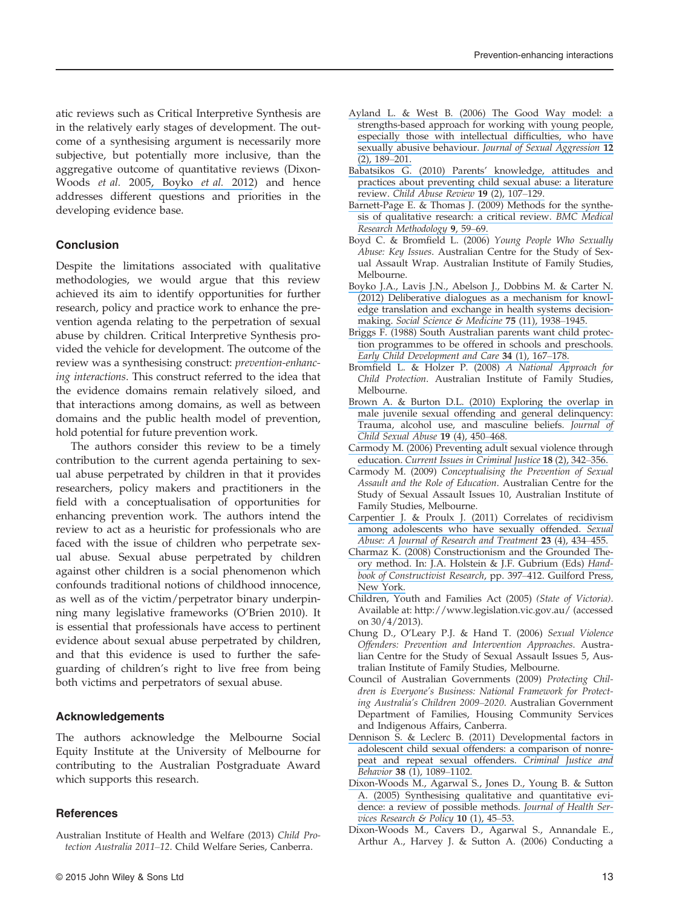atic reviews such as Critical Interpretive Synthesis are in the relatively early stages of development. The outcome of a synthesising argument is necessarily more subjective, but potentially more inclusive, than the aggregative outcome of quantitative reviews (Dixon-Woods et al. 200[5, Boyko](https://www.researchgate.net/publication/230781172_Deliberative_dialogues_as_a_mechanism_for_knowledge_translation_and_exchange_in_health_systems_decision-making?el=1_x_8&enrichId=rgreq-ce9b6f40ffd378a615ee4c3b6dcd8df2-XXX&enrichSource=Y292ZXJQYWdlOzI3OTA2ODIzNDtBUzoyODQ2ODA4MzExNjAzMjBAMTQ0NDg4NDYwNzA2Mw==) et al. 2012) and hence addresses different questions and priorities in the developing evidence base.

#### Conclusion

Despite the limitations associated with qualitative methodologies, we would argue that this review achieved its aim to identify opportunities for further research, policy and practice work to enhance the prevention agenda relating to the perpetration of sexual abuse by children. Critical Interpretive Synthesis provided the vehicle for development. The outcome of the review was a synthesising construct: prevention-enhancing interactions. This construct referred to the idea that the evidence domains remain relatively siloed, and that interactions among domains, as well as between domains and the public health model of prevention, hold potential for future prevention work.

The authors consider this review to be a timely contribution to the current agenda pertaining to sexual abuse perpetrated by children in that it provides researchers, policy makers and practitioners in the field with a conceptualisation of opportunities for enhancing prevention work. The authors intend the review to act as a heuristic for professionals who are faced with the issue of children who perpetrate sexual abuse. Sexual abuse perpetrated by children against other children is a social phenomenon which confounds traditional notions of childhood innocence, as well as of the victim/perpetrator binary underpinning many legislative frameworks (O'Brien 2010). It is essential that professionals have access to pertinent evidence about sexual abuse perpetrated by children, and that this evidence is used to further the safeguarding of children's right to live free from being both victims and perpetrators of sexual abuse.

#### Acknowledgements

The authors acknowledge the Melbourne Social Equity Institute at the University of Melbourne for contributing to the Australian Postgraduate Award which supports this research.

#### **References**

Australian Institute of Health and Welfare (2013) Child Protection Australia 2011–12. Child Welfare Series, Canberra.

- [Ayland L. & West B. \(2006\) The Good Way model: a](https://www.researchgate.net/publication/232902420_The_Good_Way_model_A_strengths-based_approach_for_working_with_young_people_especially_those_with_intellectual_difficulties_who_have_sexually_abusive_behaviour?el=1_x_8&enrichId=rgreq-ce9b6f40ffd378a615ee4c3b6dcd8df2-XXX&enrichSource=Y292ZXJQYWdlOzI3OTA2ODIzNDtBUzoyODQ2ODA4MzExNjAzMjBAMTQ0NDg4NDYwNzA2Mw==) [strengths-based approach for working with young people,](https://www.researchgate.net/publication/232902420_The_Good_Way_model_A_strengths-based_approach_for_working_with_young_people_especially_those_with_intellectual_difficulties_who_have_sexually_abusive_behaviour?el=1_x_8&enrichId=rgreq-ce9b6f40ffd378a615ee4c3b6dcd8df2-XXX&enrichSource=Y292ZXJQYWdlOzI3OTA2ODIzNDtBUzoyODQ2ODA4MzExNjAzMjBAMTQ0NDg4NDYwNzA2Mw==) [especially those with intellectual dif](https://www.researchgate.net/publication/232902420_The_Good_Way_model_A_strengths-based_approach_for_working_with_young_people_especially_those_with_intellectual_difficulties_who_have_sexually_abusive_behaviour?el=1_x_8&enrichId=rgreq-ce9b6f40ffd378a615ee4c3b6dcd8df2-XXX&enrichSource=Y292ZXJQYWdlOzI3OTA2ODIzNDtBUzoyODQ2ODA4MzExNjAzMjBAMTQ0NDg4NDYwNzA2Mw==)ficulties, who have [sexually abusive behaviour.](https://www.researchgate.net/publication/232902420_The_Good_Way_model_A_strengths-based_approach_for_working_with_young_people_especially_those_with_intellectual_difficulties_who_have_sexually_abusive_behaviour?el=1_x_8&enrichId=rgreq-ce9b6f40ffd378a615ee4c3b6dcd8df2-XXX&enrichSource=Y292ZXJQYWdlOzI3OTA2ODIzNDtBUzoyODQ2ODA4MzExNjAzMjBAMTQ0NDg4NDYwNzA2Mw==) Journal of Sexual Aggression 12 [\(2\), 189](https://www.researchgate.net/publication/232902420_The_Good_Way_model_A_strengths-based_approach_for_working_with_young_people_especially_those_with_intellectual_difficulties_who_have_sexually_abusive_behaviour?el=1_x_8&enrichId=rgreq-ce9b6f40ffd378a615ee4c3b6dcd8df2-XXX&enrichSource=Y292ZXJQYWdlOzI3OTA2ODIzNDtBUzoyODQ2ODA4MzExNjAzMjBAMTQ0NDg4NDYwNzA2Mw==)–201.
- [Babatsikos G. \(2010\) Parents](https://www.researchgate.net/publication/229565424_Parents)' knowledge, attitudes and [practices about preventing child sexual abuse: a literature](https://www.researchgate.net/publication/229565424_Parents) review. [Child Abuse Review](https://www.researchgate.net/publication/229565424_Parents) 19 (2), 107–129.
- [Barnett-Page E. & Thomas J. \(2009\) Methods for the synthe](https://www.researchgate.net/publication/26732677_Methods_for_the_synthesis_of_qualitative_research_A_critical_review?el=1_x_8&enrichId=rgreq-ce9b6f40ffd378a615ee4c3b6dcd8df2-XXX&enrichSource=Y292ZXJQYWdlOzI3OTA2ODIzNDtBUzoyODQ2ODA4MzExNjAzMjBAMTQ0NDg4NDYwNzA2Mw==)[sis of qualitative research: a critical review.](https://www.researchgate.net/publication/26732677_Methods_for_the_synthesis_of_qualitative_research_A_critical_review?el=1_x_8&enrichId=rgreq-ce9b6f40ffd378a615ee4c3b6dcd8df2-XXX&enrichSource=Y292ZXJQYWdlOzI3OTA2ODIzNDtBUzoyODQ2ODA4MzExNjAzMjBAMTQ0NDg4NDYwNzA2Mw==) BMC Medical [Research Methodology](https://www.researchgate.net/publication/26732677_Methods_for_the_synthesis_of_qualitative_research_A_critical_review?el=1_x_8&enrichId=rgreq-ce9b6f40ffd378a615ee4c3b6dcd8df2-XXX&enrichSource=Y292ZXJQYWdlOzI3OTA2ODIzNDtBUzoyODQ2ODA4MzExNjAzMjBAMTQ0NDg4NDYwNzA2Mw==) 9, 59–69.
- Boyd C. & Bromfield L. (2006) Young People Who Sexually Abuse: Key Issues. Australian Centre for the Study of Sexual Assault Wrap. Australian Institute of Family Studies, Melbourne.
- [Boyko J.A., Lavis J.N., Abelson J., Dobbins M. & Carter N.](https://www.researchgate.net/publication/230781172_Deliberative_dialogues_as_a_mechanism_for_knowledge_translation_and_exchange_in_health_systems_decision-making?el=1_x_8&enrichId=rgreq-ce9b6f40ffd378a615ee4c3b6dcd8df2-XXX&enrichSource=Y292ZXJQYWdlOzI3OTA2ODIzNDtBUzoyODQ2ODA4MzExNjAzMjBAMTQ0NDg4NDYwNzA2Mw==) [\(2012\) Deliberative dialogues as a mechanism for knowl](https://www.researchgate.net/publication/230781172_Deliberative_dialogues_as_a_mechanism_for_knowledge_translation_and_exchange_in_health_systems_decision-making?el=1_x_8&enrichId=rgreq-ce9b6f40ffd378a615ee4c3b6dcd8df2-XXX&enrichSource=Y292ZXJQYWdlOzI3OTA2ODIzNDtBUzoyODQ2ODA4MzExNjAzMjBAMTQ0NDg4NDYwNzA2Mw==)[edge translation and exchange in health systems decision-](https://www.researchgate.net/publication/230781172_Deliberative_dialogues_as_a_mechanism_for_knowledge_translation_and_exchange_in_health_systems_decision-making?el=1_x_8&enrichId=rgreq-ce9b6f40ffd378a615ee4c3b6dcd8df2-XXX&enrichSource=Y292ZXJQYWdlOzI3OTA2ODIzNDtBUzoyODQ2ODA4MzExNjAzMjBAMTQ0NDg4NDYwNzA2Mw==)making. [Social Science & Medicine](https://www.researchgate.net/publication/230781172_Deliberative_dialogues_as_a_mechanism_for_knowledge_translation_and_exchange_in_health_systems_decision-making?el=1_x_8&enrichId=rgreq-ce9b6f40ffd378a615ee4c3b6dcd8df2-XXX&enrichSource=Y292ZXJQYWdlOzI3OTA2ODIzNDtBUzoyODQ2ODA4MzExNjAzMjBAMTQ0NDg4NDYwNzA2Mw==) 75 (11), 1938-1945.
- [Briggs F. \(1988\) South Australian parents want child protec](https://www.researchgate.net/publication/247499116_South_Australian_Parents_want_Child_Protection_Programs_to_be_offered_in_Schools_and_PreSchools?el=1_x_8&enrichId=rgreq-ce9b6f40ffd378a615ee4c3b6dcd8df2-XXX&enrichSource=Y292ZXJQYWdlOzI3OTA2ODIzNDtBUzoyODQ2ODA4MzExNjAzMjBAMTQ0NDg4NDYwNzA2Mw==)[tion programmes to be offered in schools and preschools.](https://www.researchgate.net/publication/247499116_South_Australian_Parents_want_Child_Protection_Programs_to_be_offered_in_Schools_and_PreSchools?el=1_x_8&enrichId=rgreq-ce9b6f40ffd378a615ee4c3b6dcd8df2-XXX&enrichSource=Y292ZXJQYWdlOzI3OTA2ODIzNDtBUzoyODQ2ODA4MzExNjAzMjBAMTQ0NDg4NDYwNzA2Mw==) [Early Child Development and Care](https://www.researchgate.net/publication/247499116_South_Australian_Parents_want_Child_Protection_Programs_to_be_offered_in_Schools_and_PreSchools?el=1_x_8&enrichId=rgreq-ce9b6f40ffd378a615ee4c3b6dcd8df2-XXX&enrichSource=Y292ZXJQYWdlOzI3OTA2ODIzNDtBUzoyODQ2ODA4MzExNjAzMjBAMTQ0NDg4NDYwNzA2Mw==) 34 (1), 167–178.
- Bromfield L. & Holzer P. (2008) A National Approach for Child Protection. Australian Institute of Family Studies, Melbourne.
- [Brown A. & Burton D.L. \(2010\) Exploring the overlap in](https://www.researchgate.net/publication/45424933_Exploring_the_Overlap_in_Male_Juvenile_Sexual_Offending_and_General_Delinquency_Trauma_Alcohol_Use_and_Masculine_Beliefs?el=1_x_8&enrichId=rgreq-ce9b6f40ffd378a615ee4c3b6dcd8df2-XXX&enrichSource=Y292ZXJQYWdlOzI3OTA2ODIzNDtBUzoyODQ2ODA4MzExNjAzMjBAMTQ0NDg4NDYwNzA2Mw==) [male juvenile sexual offending and general delinquency:](https://www.researchgate.net/publication/45424933_Exploring_the_Overlap_in_Male_Juvenile_Sexual_Offending_and_General_Delinquency_Trauma_Alcohol_Use_and_Masculine_Beliefs?el=1_x_8&enrichId=rgreq-ce9b6f40ffd378a615ee4c3b6dcd8df2-XXX&enrichSource=Y292ZXJQYWdlOzI3OTA2ODIzNDtBUzoyODQ2ODA4MzExNjAzMjBAMTQ0NDg4NDYwNzA2Mw==) [Trauma, alcohol use, and masculine beliefs.](https://www.researchgate.net/publication/45424933_Exploring_the_Overlap_in_Male_Juvenile_Sexual_Offending_and_General_Delinquency_Trauma_Alcohol_Use_and_Masculine_Beliefs?el=1_x_8&enrichId=rgreq-ce9b6f40ffd378a615ee4c3b6dcd8df2-XXX&enrichSource=Y292ZXJQYWdlOzI3OTA2ODIzNDtBUzoyODQ2ODA4MzExNjAzMjBAMTQ0NDg4NDYwNzA2Mw==) Journal of [Child Sexual Abuse](https://www.researchgate.net/publication/45424933_Exploring_the_Overlap_in_Male_Juvenile_Sexual_Offending_and_General_Delinquency_Trauma_Alcohol_Use_and_Masculine_Beliefs?el=1_x_8&enrichId=rgreq-ce9b6f40ffd378a615ee4c3b6dcd8df2-XXX&enrichSource=Y292ZXJQYWdlOzI3OTA2ODIzNDtBUzoyODQ2ODA4MzExNjAzMjBAMTQ0NDg4NDYwNzA2Mw==) 19 (4), 450–468.
- [Carmody M. \(2006\) Preventing adult sexual violence through](https://www.researchgate.net/publication/228380841_Preventing_adult_sexual_violence_through_education?el=1_x_8&enrichId=rgreq-ce9b6f40ffd378a615ee4c3b6dcd8df2-XXX&enrichSource=Y292ZXJQYWdlOzI3OTA2ODIzNDtBUzoyODQ2ODA4MzExNjAzMjBAMTQ0NDg4NDYwNzA2Mw==) education. [Current Issues in Criminal Justice](https://www.researchgate.net/publication/228380841_Preventing_adult_sexual_violence_through_education?el=1_x_8&enrichId=rgreq-ce9b6f40ffd378a615ee4c3b6dcd8df2-XXX&enrichSource=Y292ZXJQYWdlOzI3OTA2ODIzNDtBUzoyODQ2ODA4MzExNjAzMjBAMTQ0NDg4NDYwNzA2Mw==) 18 (2), 342–356.
- Carmody M. (2009) Conceptualising the Prevention of Sexual Assault and the Role of Education. Australian Centre for the Study of Sexual Assault Issues 10, Australian Institute of Family Studies, Melbourne.
- [Carpentier J. & Proulx J. \(2011\) Correlates of recidivism](https://www.researchgate.net/publication/51682679_Correlates_of_Recidivism_Among_Adolescents_Who_Have_Sexually_Offended?el=1_x_8&enrichId=rgreq-ce9b6f40ffd378a615ee4c3b6dcd8df2-XXX&enrichSource=Y292ZXJQYWdlOzI3OTA2ODIzNDtBUzoyODQ2ODA4MzExNjAzMjBAMTQ0NDg4NDYwNzA2Mw==) [among adolescents who have sexually offended.](https://www.researchgate.net/publication/51682679_Correlates_of_Recidivism_Among_Adolescents_Who_Have_Sexually_Offended?el=1_x_8&enrichId=rgreq-ce9b6f40ffd378a615ee4c3b6dcd8df2-XXX&enrichSource=Y292ZXJQYWdlOzI3OTA2ODIzNDtBUzoyODQ2ODA4MzExNjAzMjBAMTQ0NDg4NDYwNzA2Mw==) Sexual [Abuse: A Journal of Research and Treatment](https://www.researchgate.net/publication/51682679_Correlates_of_Recidivism_Among_Adolescents_Who_Have_Sexually_Offended?el=1_x_8&enrichId=rgreq-ce9b6f40ffd378a615ee4c3b6dcd8df2-XXX&enrichSource=Y292ZXJQYWdlOzI3OTA2ODIzNDtBUzoyODQ2ODA4MzExNjAzMjBAMTQ0NDg4NDYwNzA2Mw==) 23 (4), 434–455.
- [Charmaz K. \(2008\) Constructionism and the Grounded The](https://www.researchgate.net/publication/285294710_Constructionism_and_the_grounded_theory_method?el=1_x_8&enrichId=rgreq-ce9b6f40ffd378a615ee4c3b6dcd8df2-XXX&enrichSource=Y292ZXJQYWdlOzI3OTA2ODIzNDtBUzoyODQ2ODA4MzExNjAzMjBAMTQ0NDg4NDYwNzA2Mw==)[ory method. In: J.A. Holstein & J.F. Gubrium \(Eds\)](https://www.researchgate.net/publication/285294710_Constructionism_and_the_grounded_theory_method?el=1_x_8&enrichId=rgreq-ce9b6f40ffd378a615ee4c3b6dcd8df2-XXX&enrichSource=Y292ZXJQYWdlOzI3OTA2ODIzNDtBUzoyODQ2ODA4MzExNjAzMjBAMTQ0NDg4NDYwNzA2Mw==) Hand[book of Constructivist Research](https://www.researchgate.net/publication/285294710_Constructionism_and_the_grounded_theory_method?el=1_x_8&enrichId=rgreq-ce9b6f40ffd378a615ee4c3b6dcd8df2-XXX&enrichSource=Y292ZXJQYWdlOzI3OTA2ODIzNDtBUzoyODQ2ODA4MzExNjAzMjBAMTQ0NDg4NDYwNzA2Mw==), pp. 397–412. Guilford Press, [New York.](https://www.researchgate.net/publication/285294710_Constructionism_and_the_grounded_theory_method?el=1_x_8&enrichId=rgreq-ce9b6f40ffd378a615ee4c3b6dcd8df2-XXX&enrichSource=Y292ZXJQYWdlOzI3OTA2ODIzNDtBUzoyODQ2ODA4MzExNjAzMjBAMTQ0NDg4NDYwNzA2Mw==)
- Children, Youth and Families Act (2005) (State of Victoria). Available at:<http://www.legislation.vic.gov.au/> (accessed on 30/4/2013).
- Chung D., O'Leary P.J. & Hand T. (2006) Sexual Violence Offenders: Prevention and Intervention Approaches. Australian Centre for the Study of Sexual Assault Issues 5, Australian Institute of Family Studies, Melbourne.
- Council of Australian Governments (2009) Protecting Children is Everyone's Business: National Framework for Protecting Australia's Children 2009–2020. Australian Government Department of Families, Housing Community Services and Indigenous Affairs, Canberra.
- [Dennison S. & Leclerc B. \(2011\) Developmental factors in](https://www.researchgate.net/publication/241645157_Developmental_Factors_in_Adolescent_Child_Sexual_Offenders_A_Comparison_of_Nonrepeat_and_Repeat_Sexual_Offenders?el=1_x_8&enrichId=rgreq-ce9b6f40ffd378a615ee4c3b6dcd8df2-XXX&enrichSource=Y292ZXJQYWdlOzI3OTA2ODIzNDtBUzoyODQ2ODA4MzExNjAzMjBAMTQ0NDg4NDYwNzA2Mw==) [adolescent child sexual offenders: a comparison of nonre](https://www.researchgate.net/publication/241645157_Developmental_Factors_in_Adolescent_Child_Sexual_Offenders_A_Comparison_of_Nonrepeat_and_Repeat_Sexual_Offenders?el=1_x_8&enrichId=rgreq-ce9b6f40ffd378a615ee4c3b6dcd8df2-XXX&enrichSource=Y292ZXJQYWdlOzI3OTA2ODIzNDtBUzoyODQ2ODA4MzExNjAzMjBAMTQ0NDg4NDYwNzA2Mw==)[peat and repeat sexual offenders.](https://www.researchgate.net/publication/241645157_Developmental_Factors_in_Adolescent_Child_Sexual_Offenders_A_Comparison_of_Nonrepeat_and_Repeat_Sexual_Offenders?el=1_x_8&enrichId=rgreq-ce9b6f40ffd378a615ee4c3b6dcd8df2-XXX&enrichSource=Y292ZXJQYWdlOzI3OTA2ODIzNDtBUzoyODQ2ODA4MzExNjAzMjBAMTQ0NDg4NDYwNzA2Mw==) Criminal Justice and Behavior 38 [\(1\), 1089](https://www.researchgate.net/publication/241645157_Developmental_Factors_in_Adolescent_Child_Sexual_Offenders_A_Comparison_of_Nonrepeat_and_Repeat_Sexual_Offenders?el=1_x_8&enrichId=rgreq-ce9b6f40ffd378a615ee4c3b6dcd8df2-XXX&enrichSource=Y292ZXJQYWdlOzI3OTA2ODIzNDtBUzoyODQ2ODA4MzExNjAzMjBAMTQ0NDg4NDYwNzA2Mw==)–1102.
- [Dixon-Woods M., Agarwal S., Jones D., Young B. & Sutton](https://www.researchgate.net/publication/8063434_Synthesising_Qualitative_and_Quantitative_Evidence_A_Review_of_Possible_Methods?el=1_x_8&enrichId=rgreq-ce9b6f40ffd378a615ee4c3b6dcd8df2-XXX&enrichSource=Y292ZXJQYWdlOzI3OTA2ODIzNDtBUzoyODQ2ODA4MzExNjAzMjBAMTQ0NDg4NDYwNzA2Mw==) [A. \(2005\) Synthesising qualitative and quantitative evi](https://www.researchgate.net/publication/8063434_Synthesising_Qualitative_and_Quantitative_Evidence_A_Review_of_Possible_Methods?el=1_x_8&enrichId=rgreq-ce9b6f40ffd378a615ee4c3b6dcd8df2-XXX&enrichSource=Y292ZXJQYWdlOzI3OTA2ODIzNDtBUzoyODQ2ODA4MzExNjAzMjBAMTQ0NDg4NDYwNzA2Mw==)[dence: a review of possible methods.](https://www.researchgate.net/publication/8063434_Synthesising_Qualitative_and_Quantitative_Evidence_A_Review_of_Possible_Methods?el=1_x_8&enrichId=rgreq-ce9b6f40ffd378a615ee4c3b6dcd8df2-XXX&enrichSource=Y292ZXJQYWdlOzI3OTA2ODIzNDtBUzoyODQ2ODA4MzExNjAzMjBAMTQ0NDg4NDYwNzA2Mw==) Journal of Health Ser[vices Research & Policy](https://www.researchgate.net/publication/8063434_Synthesising_Qualitative_and_Quantitative_Evidence_A_Review_of_Possible_Methods?el=1_x_8&enrichId=rgreq-ce9b6f40ffd378a615ee4c3b6dcd8df2-XXX&enrichSource=Y292ZXJQYWdlOzI3OTA2ODIzNDtBUzoyODQ2ODA4MzExNjAzMjBAMTQ0NDg4NDYwNzA2Mw==)  $10$  (1), 45-53.
- Dixon-Woods M., Cavers D., Agarwal S., Annandale E., Arthur A., Harvey J. & Sutton A. (2006) Conducting a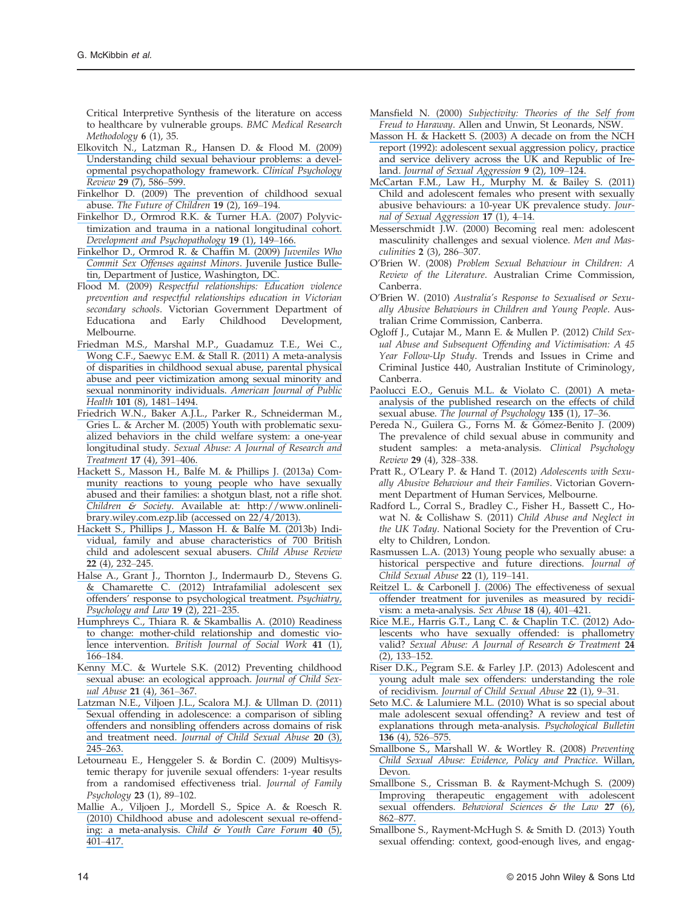Critical Interpretive Synthesis of the literature on access to healthcare by vulnerable groups. BMC Medical Research Methodology 6 (1), 35.

- [Elkovitch N., Latzman R., Hansen D. & Flood M. \(2009\)](https://www.researchgate.net/publication/26726749_Understanding_Child_Sexual_Behavior_Problems_A_Developmental_Psychopathology_Framework?el=1_x_8&enrichId=rgreq-ce9b6f40ffd378a615ee4c3b6dcd8df2-XXX&enrichSource=Y292ZXJQYWdlOzI3OTA2ODIzNDtBUzoyODQ2ODA4MzExNjAzMjBAMTQ0NDg4NDYwNzA2Mw==) [Understanding child sexual behaviour problems: a devel](https://www.researchgate.net/publication/26726749_Understanding_Child_Sexual_Behavior_Problems_A_Developmental_Psychopathology_Framework?el=1_x_8&enrichId=rgreq-ce9b6f40ffd378a615ee4c3b6dcd8df2-XXX&enrichSource=Y292ZXJQYWdlOzI3OTA2ODIzNDtBUzoyODQ2ODA4MzExNjAzMjBAMTQ0NDg4NDYwNzA2Mw==)[opmental psychopathology framework.](https://www.researchgate.net/publication/26726749_Understanding_Child_Sexual_Behavior_Problems_A_Developmental_Psychopathology_Framework?el=1_x_8&enrichId=rgreq-ce9b6f40ffd378a615ee4c3b6dcd8df2-XXX&enrichSource=Y292ZXJQYWdlOzI3OTA2ODIzNDtBUzoyODQ2ODA4MzExNjAzMjBAMTQ0NDg4NDYwNzA2Mw==) Clinical Psychology Review 29 [\(7\), 586](https://www.researchgate.net/publication/26726749_Understanding_Child_Sexual_Behavior_Problems_A_Developmental_Psychopathology_Framework?el=1_x_8&enrichId=rgreq-ce9b6f40ffd378a615ee4c3b6dcd8df2-XXX&enrichSource=Y292ZXJQYWdlOzI3OTA2ODIzNDtBUzoyODQ2ODA4MzExNjAzMjBAMTQ0NDg4NDYwNzA2Mw==)–599.
- [Finkelhor D. \(2009\) The prevention of childhood sexual](https://www.researchgate.net/publication/26778779_The_Prevention_of_Childhood_Sexual_Abuse?el=1_x_8&enrichId=rgreq-ce9b6f40ffd378a615ee4c3b6dcd8df2-XXX&enrichSource=Y292ZXJQYWdlOzI3OTA2ODIzNDtBUzoyODQ2ODA4MzExNjAzMjBAMTQ0NDg4NDYwNzA2Mw==) abuse. [The Future of Children](https://www.researchgate.net/publication/26778779_The_Prevention_of_Childhood_Sexual_Abuse?el=1_x_8&enrichId=rgreq-ce9b6f40ffd378a615ee4c3b6dcd8df2-XXX&enrichSource=Y292ZXJQYWdlOzI3OTA2ODIzNDtBUzoyODQ2ODA4MzExNjAzMjBAMTQ0NDg4NDYwNzA2Mw==) 19 (2), 169–194.
- [Finkelhor D., Ormrod R.K. & Turner H.A. \(2007\) Polyvic](https://www.researchgate.net/publication/6562554_Polyvictimization_and_trauma_in_a_national_longitudinal_cohort?el=1_x_8&enrichId=rgreq-ce9b6f40ffd378a615ee4c3b6dcd8df2-XXX&enrichSource=Y292ZXJQYWdlOzI3OTA2ODIzNDtBUzoyODQ2ODA4MzExNjAzMjBAMTQ0NDg4NDYwNzA2Mw==)[timization and trauma in a national longitudinal cohort.](https://www.researchgate.net/publication/6562554_Polyvictimization_and_trauma_in_a_national_longitudinal_cohort?el=1_x_8&enrichId=rgreq-ce9b6f40ffd378a615ee4c3b6dcd8df2-XXX&enrichSource=Y292ZXJQYWdlOzI3OTA2ODIzNDtBUzoyODQ2ODA4MzExNjAzMjBAMTQ0NDg4NDYwNzA2Mw==) [Development and Psychopathology](https://www.researchgate.net/publication/6562554_Polyvictimization_and_trauma_in_a_national_longitudinal_cohort?el=1_x_8&enrichId=rgreq-ce9b6f40ffd378a615ee4c3b6dcd8df2-XXX&enrichSource=Y292ZXJQYWdlOzI3OTA2ODIzNDtBUzoyODQ2ODA4MzExNjAzMjBAMTQ0NDg4NDYwNzA2Mw==) 19 (1), 149–166.
- [Finkelhor D., Ormrod R. & Chaf](https://www.researchgate.net/publication/253386499_Juveniles_Who_Commit_Sex_Offenses_Against_Minors?el=1_x_8&enrichId=rgreq-ce9b6f40ffd378a615ee4c3b6dcd8df2-XXX&enrichSource=Y292ZXJQYWdlOzI3OTA2ODIzNDtBUzoyODQ2ODA4MzExNjAzMjBAMTQ0NDg4NDYwNzA2Mw==)fin M. (2009) Juveniles Who [Commit Sex Offenses against Minors](https://www.researchgate.net/publication/253386499_Juveniles_Who_Commit_Sex_Offenses_Against_Minors?el=1_x_8&enrichId=rgreq-ce9b6f40ffd378a615ee4c3b6dcd8df2-XXX&enrichSource=Y292ZXJQYWdlOzI3OTA2ODIzNDtBUzoyODQ2ODA4MzExNjAzMjBAMTQ0NDg4NDYwNzA2Mw==). Juvenile Justice Bulle[tin, Department of Justice, Washington, DC.](https://www.researchgate.net/publication/253386499_Juveniles_Who_Commit_Sex_Offenses_Against_Minors?el=1_x_8&enrichId=rgreq-ce9b6f40ffd378a615ee4c3b6dcd8df2-XXX&enrichSource=Y292ZXJQYWdlOzI3OTA2ODIzNDtBUzoyODQ2ODA4MzExNjAzMjBAMTQ0NDg4NDYwNzA2Mw==)
- Flood M. (2009) Respectful relationships: Education violence prevention and respectful relationships education in Victorian secondary schools. Victorian Government Department of Educationa and Early Childhood Development, Development, Melbourne.
- [Friedman M.S., Marshal M.P., Guadamuz T.E., Wei C.,](https://www.researchgate.net/publication/51226500_A_Meta-Analysis_of_Disparities_in_Childhood_Sexual_Abuse_Parental_Physical_Abuse_and_Peer_Victimization_Among_Sexual_Minority_and_Sexual_Nonminority_Individuals?el=1_x_8&enrichId=rgreq-ce9b6f40ffd378a615ee4c3b6dcd8df2-XXX&enrichSource=Y292ZXJQYWdlOzI3OTA2ODIzNDtBUzoyODQ2ODA4MzExNjAzMjBAMTQ0NDg4NDYwNzA2Mw==) [Wong C.F., Saewyc E.M. & Stall R. \(2011\) A meta-analysis](https://www.researchgate.net/publication/51226500_A_Meta-Analysis_of_Disparities_in_Childhood_Sexual_Abuse_Parental_Physical_Abuse_and_Peer_Victimization_Among_Sexual_Minority_and_Sexual_Nonminority_Individuals?el=1_x_8&enrichId=rgreq-ce9b6f40ffd378a615ee4c3b6dcd8df2-XXX&enrichSource=Y292ZXJQYWdlOzI3OTA2ODIzNDtBUzoyODQ2ODA4MzExNjAzMjBAMTQ0NDg4NDYwNzA2Mw==) [of disparities in childhood sexual abuse, parental physical](https://www.researchgate.net/publication/51226500_A_Meta-Analysis_of_Disparities_in_Childhood_Sexual_Abuse_Parental_Physical_Abuse_and_Peer_Victimization_Among_Sexual_Minority_and_Sexual_Nonminority_Individuals?el=1_x_8&enrichId=rgreq-ce9b6f40ffd378a615ee4c3b6dcd8df2-XXX&enrichSource=Y292ZXJQYWdlOzI3OTA2ODIzNDtBUzoyODQ2ODA4MzExNjAzMjBAMTQ0NDg4NDYwNzA2Mw==) [abuse and peer victimization among sexual minority and](https://www.researchgate.net/publication/51226500_A_Meta-Analysis_of_Disparities_in_Childhood_Sexual_Abuse_Parental_Physical_Abuse_and_Peer_Victimization_Among_Sexual_Minority_and_Sexual_Nonminority_Individuals?el=1_x_8&enrichId=rgreq-ce9b6f40ffd378a615ee4c3b6dcd8df2-XXX&enrichSource=Y292ZXJQYWdlOzI3OTA2ODIzNDtBUzoyODQ2ODA4MzExNjAzMjBAMTQ0NDg4NDYwNzA2Mw==) [sexual nonminority individuals.](https://www.researchgate.net/publication/51226500_A_Meta-Analysis_of_Disparities_in_Childhood_Sexual_Abuse_Parental_Physical_Abuse_and_Peer_Victimization_Among_Sexual_Minority_and_Sexual_Nonminority_Individuals?el=1_x_8&enrichId=rgreq-ce9b6f40ffd378a615ee4c3b6dcd8df2-XXX&enrichSource=Y292ZXJQYWdlOzI3OTA2ODIzNDtBUzoyODQ2ODA4MzExNjAzMjBAMTQ0NDg4NDYwNzA2Mw==) American Journal of Public Health 101 [\(8\), 1481](https://www.researchgate.net/publication/51226500_A_Meta-Analysis_of_Disparities_in_Childhood_Sexual_Abuse_Parental_Physical_Abuse_and_Peer_Victimization_Among_Sexual_Minority_and_Sexual_Nonminority_Individuals?el=1_x_8&enrichId=rgreq-ce9b6f40ffd378a615ee4c3b6dcd8df2-XXX&enrichSource=Y292ZXJQYWdlOzI3OTA2ODIzNDtBUzoyODQ2ODA4MzExNjAzMjBAMTQ0NDg4NDYwNzA2Mw==)–1494.
- [Friedrich W.N., Baker A.J.L., Parker R., Schneiderman M.,](https://www.researchgate.net/publication/7427630_Youth_with_Problematic_Sexualized_Behaviors_in_the_Child_Welfare_System_A_One-Year_Longitudinal_Study?el=1_x_8&enrichId=rgreq-ce9b6f40ffd378a615ee4c3b6dcd8df2-XXX&enrichSource=Y292ZXJQYWdlOzI3OTA2ODIzNDtBUzoyODQ2ODA4MzExNjAzMjBAMTQ0NDg4NDYwNzA2Mw==) [Gries L. & Archer M. \(2005\) Youth with problematic sexu](https://www.researchgate.net/publication/7427630_Youth_with_Problematic_Sexualized_Behaviors_in_the_Child_Welfare_System_A_One-Year_Longitudinal_Study?el=1_x_8&enrichId=rgreq-ce9b6f40ffd378a615ee4c3b6dcd8df2-XXX&enrichSource=Y292ZXJQYWdlOzI3OTA2ODIzNDtBUzoyODQ2ODA4MzExNjAzMjBAMTQ0NDg4NDYwNzA2Mw==)[alized behaviors in the child welfare system: a one-year](https://www.researchgate.net/publication/7427630_Youth_with_Problematic_Sexualized_Behaviors_in_the_Child_Welfare_System_A_One-Year_Longitudinal_Study?el=1_x_8&enrichId=rgreq-ce9b6f40ffd378a615ee4c3b6dcd8df2-XXX&enrichSource=Y292ZXJQYWdlOzI3OTA2ODIzNDtBUzoyODQ2ODA4MzExNjAzMjBAMTQ0NDg4NDYwNzA2Mw==) longitudinal study. [Sexual Abuse: A Journal of Research and](https://www.researchgate.net/publication/7427630_Youth_with_Problematic_Sexualized_Behaviors_in_the_Child_Welfare_System_A_One-Year_Longitudinal_Study?el=1_x_8&enrichId=rgreq-ce9b6f40ffd378a615ee4c3b6dcd8df2-XXX&enrichSource=Y292ZXJQYWdlOzI3OTA2ODIzNDtBUzoyODQ2ODA4MzExNjAzMjBAMTQ0NDg4NDYwNzA2Mw==) [Treatment](https://www.researchgate.net/publication/7427630_Youth_with_Problematic_Sexualized_Behaviors_in_the_Child_Welfare_System_A_One-Year_Longitudinal_Study?el=1_x_8&enrichId=rgreq-ce9b6f40ffd378a615ee4c3b6dcd8df2-XXX&enrichSource=Y292ZXJQYWdlOzI3OTA2ODIzNDtBUzoyODQ2ODA4MzExNjAzMjBAMTQ0NDg4NDYwNzA2Mw==) 17 (4), 391–406.
- [Hackett S., Masson H., Balfe M. & Phillips J. \(2013a\) Com](https://www.researchgate.net/publication/259547947_Community_Reactions_to_Young_People_Who_Have_Sexually_Abused_and_Their_Families_A_Shotgun_Blast_Not_a_Rifle_Shot?el=1_x_8&enrichId=rgreq-ce9b6f40ffd378a615ee4c3b6dcd8df2-XXX&enrichSource=Y292ZXJQYWdlOzI3OTA2ODIzNDtBUzoyODQ2ODA4MzExNjAzMjBAMTQ0NDg4NDYwNzA2Mw==)[munity reactions to young people who have sexually](https://www.researchgate.net/publication/259547947_Community_Reactions_to_Young_People_Who_Have_Sexually_Abused_and_Their_Families_A_Shotgun_Blast_Not_a_Rifle_Shot?el=1_x_8&enrichId=rgreq-ce9b6f40ffd378a615ee4c3b6dcd8df2-XXX&enrichSource=Y292ZXJQYWdlOzI3OTA2ODIzNDtBUzoyODQ2ODA4MzExNjAzMjBAMTQ0NDg4NDYwNzA2Mw==) [abused and their families: a shotgun blast, not a ri](https://www.researchgate.net/publication/259547947_Community_Reactions_to_Young_People_Who_Have_Sexually_Abused_and_Their_Families_A_Shotgun_Blast_Not_a_Rifle_Shot?el=1_x_8&enrichId=rgreq-ce9b6f40ffd378a615ee4c3b6dcd8df2-XXX&enrichSource=Y292ZXJQYWdlOzI3OTA2ODIzNDtBUzoyODQ2ODA4MzExNjAzMjBAMTQ0NDg4NDYwNzA2Mw==)fle shot. Children & Society[. Available at:](https://www.researchgate.net/publication/259547947_Community_Reactions_to_Young_People_Who_Have_Sexually_Abused_and_Their_Families_A_Shotgun_Blast_Not_a_Rifle_Shot?el=1_x_8&enrichId=rgreq-ce9b6f40ffd378a615ee4c3b6dcd8df2-XXX&enrichSource=Y292ZXJQYWdlOzI3OTA2ODIzNDtBUzoyODQ2ODA4MzExNjAzMjBAMTQ0NDg4NDYwNzA2Mw==) [http://www.onlineli](http://www.onlinelibrary.wiley.com.ezp.lib)[brary.wiley.com.ezp.lib](http://www.onlinelibrary.wiley.com.ezp.lib) [\(accessed on 22/4/2013\).](https://www.researchgate.net/publication/259547947_Community_Reactions_to_Young_People_Who_Have_Sexually_Abused_and_Their_Families_A_Shotgun_Blast_Not_a_Rifle_Shot?el=1_x_8&enrichId=rgreq-ce9b6f40ffd378a615ee4c3b6dcd8df2-XXX&enrichSource=Y292ZXJQYWdlOzI3OTA2ODIzNDtBUzoyODQ2ODA4MzExNjAzMjBAMTQ0NDg4NDYwNzA2Mw==)
- [Hackett S., Phillips J., Masson H. & Balfe M. \(2013b\) Indi](https://www.researchgate.net/publication/264379649_Individual_Family_and_Abuse_Characteristics_of_700_British_Child_and_Adolescent_Sexual_Abusers?el=1_x_8&enrichId=rgreq-ce9b6f40ffd378a615ee4c3b6dcd8df2-XXX&enrichSource=Y292ZXJQYWdlOzI3OTA2ODIzNDtBUzoyODQ2ODA4MzExNjAzMjBAMTQ0NDg4NDYwNzA2Mw==)[vidual, family and abuse characteristics of 700 British](https://www.researchgate.net/publication/264379649_Individual_Family_and_Abuse_Characteristics_of_700_British_Child_and_Adolescent_Sexual_Abusers?el=1_x_8&enrichId=rgreq-ce9b6f40ffd378a615ee4c3b6dcd8df2-XXX&enrichSource=Y292ZXJQYWdlOzI3OTA2ODIzNDtBUzoyODQ2ODA4MzExNjAzMjBAMTQ0NDg4NDYwNzA2Mw==) [child and adolescent sexual abusers.](https://www.researchgate.net/publication/264379649_Individual_Family_and_Abuse_Characteristics_of_700_British_Child_and_Adolescent_Sexual_Abusers?el=1_x_8&enrichId=rgreq-ce9b6f40ffd378a615ee4c3b6dcd8df2-XXX&enrichSource=Y292ZXJQYWdlOzI3OTA2ODIzNDtBUzoyODQ2ODA4MzExNjAzMjBAMTQ0NDg4NDYwNzA2Mw==) Child Abuse Review 22 [\(4\), 232](https://www.researchgate.net/publication/264379649_Individual_Family_and_Abuse_Characteristics_of_700_British_Child_and_Adolescent_Sexual_Abusers?el=1_x_8&enrichId=rgreq-ce9b6f40ffd378a615ee4c3b6dcd8df2-XXX&enrichSource=Y292ZXJQYWdlOzI3OTA2ODIzNDtBUzoyODQ2ODA4MzExNjAzMjBAMTQ0NDg4NDYwNzA2Mw==)–245.
- [Halse A., Grant J., Thornton J., Indermaurb D., Stevens G.](https://www.researchgate.net/publication/239795096_Intrafamilial_Adolescent_Sex_Offenders) [& Chamarette C. \(2012\) Intrafamilial adolescent sex](https://www.researchgate.net/publication/239795096_Intrafamilial_Adolescent_Sex_Offenders) offenders' [response to psychological treatment.](https://www.researchgate.net/publication/239795096_Intrafamilial_Adolescent_Sex_Offenders) Psychiatry, [Psychology and Law](https://www.researchgate.net/publication/239795096_Intrafamilial_Adolescent_Sex_Offenders) 19 (2), 221–235.
- [Humphreys C., Thiara R. & Skamballis A. \(2010\) Readiness](https://www.researchgate.net/publication/240591110_Readiness_to_Change_Mother-Child_Relationship_and_Domestic_Violence_Intervention?el=1_x_8&enrichId=rgreq-ce9b6f40ffd378a615ee4c3b6dcd8df2-XXX&enrichSource=Y292ZXJQYWdlOzI3OTA2ODIzNDtBUzoyODQ2ODA4MzExNjAzMjBAMTQ0NDg4NDYwNzA2Mw==) [to change: mother-child relationship and domestic vio](https://www.researchgate.net/publication/240591110_Readiness_to_Change_Mother-Child_Relationship_and_Domestic_Violence_Intervention?el=1_x_8&enrichId=rgreq-ce9b6f40ffd378a615ee4c3b6dcd8df2-XXX&enrichSource=Y292ZXJQYWdlOzI3OTA2ODIzNDtBUzoyODQ2ODA4MzExNjAzMjBAMTQ0NDg4NDYwNzA2Mw==)lence intervention. [British Journal of Social Work](https://www.researchgate.net/publication/240591110_Readiness_to_Change_Mother-Child_Relationship_and_Domestic_Violence_Intervention?el=1_x_8&enrichId=rgreq-ce9b6f40ffd378a615ee4c3b6dcd8df2-XXX&enrichSource=Y292ZXJQYWdlOzI3OTA2ODIzNDtBUzoyODQ2ODA4MzExNjAzMjBAMTQ0NDg4NDYwNzA2Mw==) 41 (1), 166–[184.](https://www.researchgate.net/publication/240591110_Readiness_to_Change_Mother-Child_Relationship_and_Domestic_Violence_Intervention?el=1_x_8&enrichId=rgreq-ce9b6f40ffd378a615ee4c3b6dcd8df2-XXX&enrichSource=Y292ZXJQYWdlOzI3OTA2ODIzNDtBUzoyODQ2ODA4MzExNjAzMjBAMTQ0NDg4NDYwNzA2Mw==)
- [Kenny M.C. & Wurtele S.K. \(2012\) Preventing childhood](https://www.researchgate.net/publication/229324516_Preventing_Childhood_Sexual_Abuse_An_Ecological_Approach?el=1_x_8&enrichId=rgreq-ce9b6f40ffd378a615ee4c3b6dcd8df2-XXX&enrichSource=Y292ZXJQYWdlOzI3OTA2ODIzNDtBUzoyODQ2ODA4MzExNjAzMjBAMTQ0NDg4NDYwNzA2Mw==) [sexual abuse: an ecological approach.](https://www.researchgate.net/publication/229324516_Preventing_Childhood_Sexual_Abuse_An_Ecological_Approach?el=1_x_8&enrichId=rgreq-ce9b6f40ffd378a615ee4c3b6dcd8df2-XXX&enrichSource=Y292ZXJQYWdlOzI3OTA2ODIzNDtBUzoyODQ2ODA4MzExNjAzMjBAMTQ0NDg4NDYwNzA2Mw==) Journal of Child Sex[ual Abuse](https://www.researchgate.net/publication/229324516_Preventing_Childhood_Sexual_Abuse_An_Ecological_Approach?el=1_x_8&enrichId=rgreq-ce9b6f40ffd378a615ee4c3b6dcd8df2-XXX&enrichSource=Y292ZXJQYWdlOzI3OTA2ODIzNDtBUzoyODQ2ODA4MzExNjAzMjBAMTQ0NDg4NDYwNzA2Mw==) 21 (4), 361–367.
- [Latzman N.E., Viljoen J.L., Scalora M.J. & Ullman D. \(2011\)](https://www.researchgate.net/publication/51208235_Sexual_Offending_in_Adolescence_A_Comparison_of_Sibling_Offenders_and_Nonsibling_Offenders_across_Domains_of_Risk_and_Treatment_Need?el=1_x_8&enrichId=rgreq-ce9b6f40ffd378a615ee4c3b6dcd8df2-XXX&enrichSource=Y292ZXJQYWdlOzI3OTA2ODIzNDtBUzoyODQ2ODA4MzExNjAzMjBAMTQ0NDg4NDYwNzA2Mw==) [Sexual offending in adolescence: a comparison of sibling](https://www.researchgate.net/publication/51208235_Sexual_Offending_in_Adolescence_A_Comparison_of_Sibling_Offenders_and_Nonsibling_Offenders_across_Domains_of_Risk_and_Treatment_Need?el=1_x_8&enrichId=rgreq-ce9b6f40ffd378a615ee4c3b6dcd8df2-XXX&enrichSource=Y292ZXJQYWdlOzI3OTA2ODIzNDtBUzoyODQ2ODA4MzExNjAzMjBAMTQ0NDg4NDYwNzA2Mw==) [offenders and nonsibling offenders across domains of risk](https://www.researchgate.net/publication/51208235_Sexual_Offending_in_Adolescence_A_Comparison_of_Sibling_Offenders_and_Nonsibling_Offenders_across_Domains_of_Risk_and_Treatment_Need?el=1_x_8&enrichId=rgreq-ce9b6f40ffd378a615ee4c3b6dcd8df2-XXX&enrichSource=Y292ZXJQYWdlOzI3OTA2ODIzNDtBUzoyODQ2ODA4MzExNjAzMjBAMTQ0NDg4NDYwNzA2Mw==) and treatment need. [Journal of Child Sexual Abuse](https://www.researchgate.net/publication/51208235_Sexual_Offending_in_Adolescence_A_Comparison_of_Sibling_Offenders_and_Nonsibling_Offenders_across_Domains_of_Risk_and_Treatment_Need?el=1_x_8&enrichId=rgreq-ce9b6f40ffd378a615ee4c3b6dcd8df2-XXX&enrichSource=Y292ZXJQYWdlOzI3OTA2ODIzNDtBUzoyODQ2ODA4MzExNjAzMjBAMTQ0NDg4NDYwNzA2Mw==) 20 (3), 245–[263.](https://www.researchgate.net/publication/51208235_Sexual_Offending_in_Adolescence_A_Comparison_of_Sibling_Offenders_and_Nonsibling_Offenders_across_Domains_of_Risk_and_Treatment_Need?el=1_x_8&enrichId=rgreq-ce9b6f40ffd378a615ee4c3b6dcd8df2-XXX&enrichSource=Y292ZXJQYWdlOzI3OTA2ODIzNDtBUzoyODQ2ODA4MzExNjAzMjBAMTQ0NDg4NDYwNzA2Mw==)
- Letourneau E., Henggeler S. & Bordin C. (2009) Multisystemic therapy for juvenile sexual offenders: 1-year results from a randomised effectiveness trial. Journal of Family Psychology 23 (1), 89–102.
- [Mallie A., Viljoen J., Mordell S., Spice A. & Roesch R.](https://www.researchgate.net/publication/226729127_Childhood_Abuse_and_Adolescent_Sexual_Re-Offending_A_Meta-Analysis?el=1_x_8&enrichId=rgreq-ce9b6f40ffd378a615ee4c3b6dcd8df2-XXX&enrichSource=Y292ZXJQYWdlOzI3OTA2ODIzNDtBUzoyODQ2ODA4MzExNjAzMjBAMTQ0NDg4NDYwNzA2Mw==) [\(2010\) Childhood abuse and adolescent sexual re-offend](https://www.researchgate.net/publication/226729127_Childhood_Abuse_and_Adolescent_Sexual_Re-Offending_A_Meta-Analysis?el=1_x_8&enrichId=rgreq-ce9b6f40ffd378a615ee4c3b6dcd8df2-XXX&enrichSource=Y292ZXJQYWdlOzI3OTA2ODIzNDtBUzoyODQ2ODA4MzExNjAzMjBAMTQ0NDg4NDYwNzA2Mw==)ing: a meta-analysis. [Child & Youth Care Forum](https://www.researchgate.net/publication/226729127_Childhood_Abuse_and_Adolescent_Sexual_Re-Offending_A_Meta-Analysis?el=1_x_8&enrichId=rgreq-ce9b6f40ffd378a615ee4c3b6dcd8df2-XXX&enrichSource=Y292ZXJQYWdlOzI3OTA2ODIzNDtBUzoyODQ2ODA4MzExNjAzMjBAMTQ0NDg4NDYwNzA2Mw==) 40 (5), 401–[417.](https://www.researchgate.net/publication/226729127_Childhood_Abuse_and_Adolescent_Sexual_Re-Offending_A_Meta-Analysis?el=1_x_8&enrichId=rgreq-ce9b6f40ffd378a615ee4c3b6dcd8df2-XXX&enrichSource=Y292ZXJQYWdlOzI3OTA2ODIzNDtBUzoyODQ2ODA4MzExNjAzMjBAMTQ0NDg4NDYwNzA2Mw==)
- Mansfield N. (2000) [Subjectivity: Theories of the Self from](https://www.researchgate.net/publication/200026863_Subjectivity_Theories_of_the_Self_from_Freud_to_Haraway?el=1_x_8&enrichId=rgreq-ce9b6f40ffd378a615ee4c3b6dcd8df2-XXX&enrichSource=Y292ZXJQYWdlOzI3OTA2ODIzNDtBUzoyODQ2ODA4MzExNjAzMjBAMTQ0NDg4NDYwNzA2Mw==) Freud to Haraway[. Allen and Unwin, St Leonards, NSW.](https://www.researchgate.net/publication/200026863_Subjectivity_Theories_of_the_Self_from_Freud_to_Haraway?el=1_x_8&enrichId=rgreq-ce9b6f40ffd378a615ee4c3b6dcd8df2-XXX&enrichSource=Y292ZXJQYWdlOzI3OTA2ODIzNDtBUzoyODQ2ODA4MzExNjAzMjBAMTQ0NDg4NDYwNzA2Mw==)
- [Masson H. & Hackett S. \(2003\) A decade on from the NCH](https://www.researchgate.net/publication/247498145_A_decade_on_from_the_NCH_Report_1992_Adolescent_sexual_aggression_policy_practice_and_service_delivery_across_the_UK_and_Republic_of_Ireland?el=1_x_8&enrichId=rgreq-ce9b6f40ffd378a615ee4c3b6dcd8df2-XXX&enrichSource=Y292ZXJQYWdlOzI3OTA2ODIzNDtBUzoyODQ2ODA4MzExNjAzMjBAMTQ0NDg4NDYwNzA2Mw==) [report \(1992\): adolescent sexual aggression policy, practice](https://www.researchgate.net/publication/247498145_A_decade_on_from_the_NCH_Report_1992_Adolescent_sexual_aggression_policy_practice_and_service_delivery_across_the_UK_and_Republic_of_Ireland?el=1_x_8&enrichId=rgreq-ce9b6f40ffd378a615ee4c3b6dcd8df2-XXX&enrichSource=Y292ZXJQYWdlOzI3OTA2ODIzNDtBUzoyODQ2ODA4MzExNjAzMjBAMTQ0NDg4NDYwNzA2Mw==) [and service delivery across the UK and Republic of Ire-](https://www.researchgate.net/publication/247498145_A_decade_on_from_the_NCH_Report_1992_Adolescent_sexual_aggression_policy_practice_and_service_delivery_across_the_UK_and_Republic_of_Ireland?el=1_x_8&enrichId=rgreq-ce9b6f40ffd378a615ee4c3b6dcd8df2-XXX&enrichSource=Y292ZXJQYWdlOzI3OTA2ODIzNDtBUzoyODQ2ODA4MzExNjAzMjBAMTQ0NDg4NDYwNzA2Mw==)land. [Journal of Sexual Aggression](https://www.researchgate.net/publication/247498145_A_decade_on_from_the_NCH_Report_1992_Adolescent_sexual_aggression_policy_practice_and_service_delivery_across_the_UK_and_Republic_of_Ireland?el=1_x_8&enrichId=rgreq-ce9b6f40ffd378a615ee4c3b6dcd8df2-XXX&enrichSource=Y292ZXJQYWdlOzI3OTA2ODIzNDtBUzoyODQ2ODA4MzExNjAzMjBAMTQ0NDg4NDYwNzA2Mw==) 9 (2), 109-124.
- [McCartan F.M., Law H., Murphy M. & Bailey S. \(2011\)](https://www.researchgate.net/publication/232878246_Child_and_adolescent_females_who_present_with_sexually_abusive_behaviours_A_10-year_UK_prevalence_study?el=1_x_8&enrichId=rgreq-ce9b6f40ffd378a615ee4c3b6dcd8df2-XXX&enrichSource=Y292ZXJQYWdlOzI3OTA2ODIzNDtBUzoyODQ2ODA4MzExNjAzMjBAMTQ0NDg4NDYwNzA2Mw==) [Child and adolescent females who present with sexually](https://www.researchgate.net/publication/232878246_Child_and_adolescent_females_who_present_with_sexually_abusive_behaviours_A_10-year_UK_prevalence_study?el=1_x_8&enrichId=rgreq-ce9b6f40ffd378a615ee4c3b6dcd8df2-XXX&enrichSource=Y292ZXJQYWdlOzI3OTA2ODIzNDtBUzoyODQ2ODA4MzExNjAzMjBAMTQ0NDg4NDYwNzA2Mw==) [abusive behaviours: a 10-year UK prevalence study.](https://www.researchgate.net/publication/232878246_Child_and_adolescent_females_who_present_with_sexually_abusive_behaviours_A_10-year_UK_prevalence_study?el=1_x_8&enrichId=rgreq-ce9b6f40ffd378a615ee4c3b6dcd8df2-XXX&enrichSource=Y292ZXJQYWdlOzI3OTA2ODIzNDtBUzoyODQ2ODA4MzExNjAzMjBAMTQ0NDg4NDYwNzA2Mw==) Jour[nal of Sexual Aggression](https://www.researchgate.net/publication/232878246_Child_and_adolescent_females_who_present_with_sexually_abusive_behaviours_A_10-year_UK_prevalence_study?el=1_x_8&enrichId=rgreq-ce9b6f40ffd378a615ee4c3b6dcd8df2-XXX&enrichSource=Y292ZXJQYWdlOzI3OTA2ODIzNDtBUzoyODQ2ODA4MzExNjAzMjBAMTQ0NDg4NDYwNzA2Mw==) 17 (1), 4–14.
- Messerschmidt J.W. (2000) Becoming real men: adolescent masculinity challenges and sexual violence. Men and Masculinities 2 (3), 286–307.
- O'Brien W. (2008) Problem Sexual Behaviour in Children: A Review of the Literature. Australian Crime Commission, Canberra.
- O'Brien W. (2010) Australia's Response to Sexualised or Sexually Abusive Behaviours in Children and Young People. Australian Crime Commission, Canberra.
- Ogloff J., Cutajar M., Mann E. & Mullen P. (2012) Child Sexual Abuse and Subsequent Offending and Victimisation: A 45 Year Follow-Up Study. Trends and Issues in Crime and Criminal Justice 440, Australian Institute of Criminology, Canberra.
- [Paolucci E.O., Genuis M.L. & Violato C. \(2001\) A meta](https://www.researchgate.net/publication/12095737_A_Meta-Analysis_of_The_Published_Research_on_The_Effects_of_Child_Sexual_Abuse?el=1_x_8&enrichId=rgreq-ce9b6f40ffd378a615ee4c3b6dcd8df2-XXX&enrichSource=Y292ZXJQYWdlOzI3OTA2ODIzNDtBUzoyODQ2ODA4MzExNjAzMjBAMTQ0NDg4NDYwNzA2Mw==)[analysis of the published research on the effects of child](https://www.researchgate.net/publication/12095737_A_Meta-Analysis_of_The_Published_Research_on_The_Effects_of_Child_Sexual_Abuse?el=1_x_8&enrichId=rgreq-ce9b6f40ffd378a615ee4c3b6dcd8df2-XXX&enrichSource=Y292ZXJQYWdlOzI3OTA2ODIzNDtBUzoyODQ2ODA4MzExNjAzMjBAMTQ0NDg4NDYwNzA2Mw==) sexual abuse. [The Journal of Psychology](https://www.researchgate.net/publication/12095737_A_Meta-Analysis_of_The_Published_Research_on_The_Effects_of_Child_Sexual_Abuse?el=1_x_8&enrichId=rgreq-ce9b6f40ffd378a615ee4c3b6dcd8df2-XXX&enrichSource=Y292ZXJQYWdlOzI3OTA2ODIzNDtBUzoyODQ2ODA4MzExNjAzMjBAMTQ0NDg4NDYwNzA2Mw==) 135 (1), 17-36.
- Pereda N., Guilera G., Forns M. & Gómez-Benito J. (2009) The prevalence of child sexual abuse in community and student samples: a meta-analysis. Clinical Psychology Review 29 (4), 328–338.
- Pratt R., O'Leary P. & Hand T. (2012) Adolescents with Sexually Abusive Behaviour and their Families. Victorian Government Department of Human Services, Melbourne.
- Radford L., Corral S., Bradley C., Fisher H., Bassett C., Howat N. & Collishaw S. (2011) Child Abuse and Neglect in the UK Today. National Society for the Prevention of Cruelty to Children, London.
- [Rasmussen L.A. \(2013\) Young people who sexually abuse: a](https://www.researchgate.net/publication/235372750_Young_People_Who_Sexually_Abuse_A_Historical_Perspective_and_Future_Directions?el=1_x_8&enrichId=rgreq-ce9b6f40ffd378a615ee4c3b6dcd8df2-XXX&enrichSource=Y292ZXJQYWdlOzI3OTA2ODIzNDtBUzoyODQ2ODA4MzExNjAzMjBAMTQ0NDg4NDYwNzA2Mw==) [historical perspective and future directions.](https://www.researchgate.net/publication/235372750_Young_People_Who_Sexually_Abuse_A_Historical_Perspective_and_Future_Directions?el=1_x_8&enrichId=rgreq-ce9b6f40ffd378a615ee4c3b6dcd8df2-XXX&enrichSource=Y292ZXJQYWdlOzI3OTA2ODIzNDtBUzoyODQ2ODA4MzExNjAzMjBAMTQ0NDg4NDYwNzA2Mw==) Journal of [Child Sexual Abuse](https://www.researchgate.net/publication/235372750_Young_People_Who_Sexually_Abuse_A_Historical_Perspective_and_Future_Directions?el=1_x_8&enrichId=rgreq-ce9b6f40ffd378a615ee4c3b6dcd8df2-XXX&enrichSource=Y292ZXJQYWdlOzI3OTA2ODIzNDtBUzoyODQ2ODA4MzExNjAzMjBAMTQ0NDg4NDYwNzA2Mw==) 22 (1), 119–141.
- [Reitzel L. & Carbonell J. \(2006\) The effectiveness of sexual](https://www.researchgate.net/publication/6661456_The_Effectiveness_of_Sexual_Offender_Treatment_for_Juveniles_as_Measured_by_Recidivism_A_Meta-analysis?el=1_x_8&enrichId=rgreq-ce9b6f40ffd378a615ee4c3b6dcd8df2-XXX&enrichSource=Y292ZXJQYWdlOzI3OTA2ODIzNDtBUzoyODQ2ODA4MzExNjAzMjBAMTQ0NDg4NDYwNzA2Mw==) [offender treatment for juveniles as measured by recidi](https://www.researchgate.net/publication/6661456_The_Effectiveness_of_Sexual_Offender_Treatment_for_Juveniles_as_Measured_by_Recidivism_A_Meta-analysis?el=1_x_8&enrichId=rgreq-ce9b6f40ffd378a615ee4c3b6dcd8df2-XXX&enrichSource=Y292ZXJQYWdlOzI3OTA2ODIzNDtBUzoyODQ2ODA4MzExNjAzMjBAMTQ0NDg4NDYwNzA2Mw==)[vism: a meta-analysis.](https://www.researchgate.net/publication/6661456_The_Effectiveness_of_Sexual_Offender_Treatment_for_Juveniles_as_Measured_by_Recidivism_A_Meta-analysis?el=1_x_8&enrichId=rgreq-ce9b6f40ffd378a615ee4c3b6dcd8df2-XXX&enrichSource=Y292ZXJQYWdlOzI3OTA2ODIzNDtBUzoyODQ2ODA4MzExNjAzMjBAMTQ0NDg4NDYwNzA2Mw==) Sex Abuse 18 (4), 401-421.
- [Rice M.E., Harris G.T., Lang C. & Chaplin T.C. \(2012\) Ado](https://www.researchgate.net/publication/51682678_Adolescents_Who_Have_Sexually_Offended_Is_Phallometry_Valid?el=1_x_8&enrichId=rgreq-ce9b6f40ffd378a615ee4c3b6dcd8df2-XXX&enrichSource=Y292ZXJQYWdlOzI3OTA2ODIzNDtBUzoyODQ2ODA4MzExNjAzMjBAMTQ0NDg4NDYwNzA2Mw==)[lescents who have sexually offended: is phallometry](https://www.researchgate.net/publication/51682678_Adolescents_Who_Have_Sexually_Offended_Is_Phallometry_Valid?el=1_x_8&enrichId=rgreq-ce9b6f40ffd378a615ee4c3b6dcd8df2-XXX&enrichSource=Y292ZXJQYWdlOzI3OTA2ODIzNDtBUzoyODQ2ODA4MzExNjAzMjBAMTQ0NDg4NDYwNzA2Mw==) valid? [Sexual Abuse: A Journal of Research & Treatment](https://www.researchgate.net/publication/51682678_Adolescents_Who_Have_Sexually_Offended_Is_Phallometry_Valid?el=1_x_8&enrichId=rgreq-ce9b6f40ffd378a615ee4c3b6dcd8df2-XXX&enrichSource=Y292ZXJQYWdlOzI3OTA2ODIzNDtBUzoyODQ2ODA4MzExNjAzMjBAMTQ0NDg4NDYwNzA2Mw==) 24 [\(2\), 133](https://www.researchgate.net/publication/51682678_Adolescents_Who_Have_Sexually_Offended_Is_Phallometry_Valid?el=1_x_8&enrichId=rgreq-ce9b6f40ffd378a615ee4c3b6dcd8df2-XXX&enrichSource=Y292ZXJQYWdlOzI3OTA2ODIzNDtBUzoyODQ2ODA4MzExNjAzMjBAMTQ0NDg4NDYwNzA2Mw==)–152.
- [Riser D.K., Pegram S.E. & Farley J.P. \(2013\) Adolescent and](https://www.researchgate.net/publication/235372744_Adolescent_and_Young_Adult_Male_Sex_Offenders_Understanding_the_Role_of_Recidivism?el=1_x_8&enrichId=rgreq-ce9b6f40ffd378a615ee4c3b6dcd8df2-XXX&enrichSource=Y292ZXJQYWdlOzI3OTA2ODIzNDtBUzoyODQ2ODA4MzExNjAzMjBAMTQ0NDg4NDYwNzA2Mw==) [young adult male sex offenders: understanding the role](https://www.researchgate.net/publication/235372744_Adolescent_and_Young_Adult_Male_Sex_Offenders_Understanding_the_Role_of_Recidivism?el=1_x_8&enrichId=rgreq-ce9b6f40ffd378a615ee4c3b6dcd8df2-XXX&enrichSource=Y292ZXJQYWdlOzI3OTA2ODIzNDtBUzoyODQ2ODA4MzExNjAzMjBAMTQ0NDg4NDYwNzA2Mw==) of recidivism. [Journal of Child Sexual Abuse](https://www.researchgate.net/publication/235372744_Adolescent_and_Young_Adult_Male_Sex_Offenders_Understanding_the_Role_of_Recidivism?el=1_x_8&enrichId=rgreq-ce9b6f40ffd378a615ee4c3b6dcd8df2-XXX&enrichSource=Y292ZXJQYWdlOzI3OTA2ODIzNDtBUzoyODQ2ODA4MzExNjAzMjBAMTQ0NDg4NDYwNzA2Mw==) 22 (1), 9–31.
- [Seto M.C. & Lalumiere M.L. \(2010\) What is so special about](https://www.researchgate.net/publication/44689727_What_Is_So_Special_About_Male_Adolescent_Sexual_Offending_A_Review_and_Test_of_Explanations_Through_Meta-Analysis?el=1_x_8&enrichId=rgreq-ce9b6f40ffd378a615ee4c3b6dcd8df2-XXX&enrichSource=Y292ZXJQYWdlOzI3OTA2ODIzNDtBUzoyODQ2ODA4MzExNjAzMjBAMTQ0NDg4NDYwNzA2Mw==) [male adolescent sexual offending? A review and test of](https://www.researchgate.net/publication/44689727_What_Is_So_Special_About_Male_Adolescent_Sexual_Offending_A_Review_and_Test_of_Explanations_Through_Meta-Analysis?el=1_x_8&enrichId=rgreq-ce9b6f40ffd378a615ee4c3b6dcd8df2-XXX&enrichSource=Y292ZXJQYWdlOzI3OTA2ODIzNDtBUzoyODQ2ODA4MzExNjAzMjBAMTQ0NDg4NDYwNzA2Mw==) [explanations through meta-analysis.](https://www.researchgate.net/publication/44689727_What_Is_So_Special_About_Male_Adolescent_Sexual_Offending_A_Review_and_Test_of_Explanations_Through_Meta-Analysis?el=1_x_8&enrichId=rgreq-ce9b6f40ffd378a615ee4c3b6dcd8df2-XXX&enrichSource=Y292ZXJQYWdlOzI3OTA2ODIzNDtBUzoyODQ2ODA4MzExNjAzMjBAMTQ0NDg4NDYwNzA2Mw==) Psychological Bulletin 136 [\(4\), 526](https://www.researchgate.net/publication/44689727_What_Is_So_Special_About_Male_Adolescent_Sexual_Offending_A_Review_and_Test_of_Explanations_Through_Meta-Analysis?el=1_x_8&enrichId=rgreq-ce9b6f40ffd378a615ee4c3b6dcd8df2-XXX&enrichSource=Y292ZXJQYWdlOzI3OTA2ODIzNDtBUzoyODQ2ODA4MzExNjAzMjBAMTQ0NDg4NDYwNzA2Mw==)–575.
- [Smallbone S., Marshall W. & Wortley R. \(2008\)](https://www.researchgate.net/publication/48381578_Preventing_Child_Sexual_Abuse_Evidence_Policy_and_Practice?el=1_x_8&enrichId=rgreq-ce9b6f40ffd378a615ee4c3b6dcd8df2-XXX&enrichSource=Y292ZXJQYWdlOzI3OTA2ODIzNDtBUzoyODQ2ODA4MzExNjAzMjBAMTQ0NDg4NDYwNzA2Mw==) Preventing [Child Sexual Abuse: Evidence, Policy and Practice](https://www.researchgate.net/publication/48381578_Preventing_Child_Sexual_Abuse_Evidence_Policy_and_Practice?el=1_x_8&enrichId=rgreq-ce9b6f40ffd378a615ee4c3b6dcd8df2-XXX&enrichSource=Y292ZXJQYWdlOzI3OTA2ODIzNDtBUzoyODQ2ODA4MzExNjAzMjBAMTQ0NDg4NDYwNzA2Mw==). Willan, [Devon.](https://www.researchgate.net/publication/48381578_Preventing_Child_Sexual_Abuse_Evidence_Policy_and_Practice?el=1_x_8&enrichId=rgreq-ce9b6f40ffd378a615ee4c3b6dcd8df2-XXX&enrichSource=Y292ZXJQYWdlOzI3OTA2ODIzNDtBUzoyODQ2ODA4MzExNjAzMjBAMTQ0NDg4NDYwNzA2Mw==)
- [Smallbone S., Crissman B. & Rayment-Mchugh S. \(2009\)](https://www.researchgate.net/publication/40031148_Improving_Therapeutic_Engagement_with_Adolescent_Sexual_Offenders?el=1_x_8&enrichId=rgreq-ce9b6f40ffd378a615ee4c3b6dcd8df2-XXX&enrichSource=Y292ZXJQYWdlOzI3OTA2ODIzNDtBUzoyODQ2ODA4MzExNjAzMjBAMTQ0NDg4NDYwNzA2Mw==) [Improving therapeutic engagement with adolescent](https://www.researchgate.net/publication/40031148_Improving_Therapeutic_Engagement_with_Adolescent_Sexual_Offenders?el=1_x_8&enrichId=rgreq-ce9b6f40ffd378a615ee4c3b6dcd8df2-XXX&enrichSource=Y292ZXJQYWdlOzI3OTA2ODIzNDtBUzoyODQ2ODA4MzExNjAzMjBAMTQ0NDg4NDYwNzA2Mw==) sexual offenders. Behavioral Sciences  $\varepsilon$  the Law 27 (6), 862–[877.](https://www.researchgate.net/publication/40031148_Improving_Therapeutic_Engagement_with_Adolescent_Sexual_Offenders?el=1_x_8&enrichId=rgreq-ce9b6f40ffd378a615ee4c3b6dcd8df2-XXX&enrichSource=Y292ZXJQYWdlOzI3OTA2ODIzNDtBUzoyODQ2ODA4MzExNjAzMjBAMTQ0NDg4NDYwNzA2Mw==)
- Smallbone S., Rayment-McHugh S. & Smith D. (2013) Youth sexual offending: context, good-enough lives, and engag-